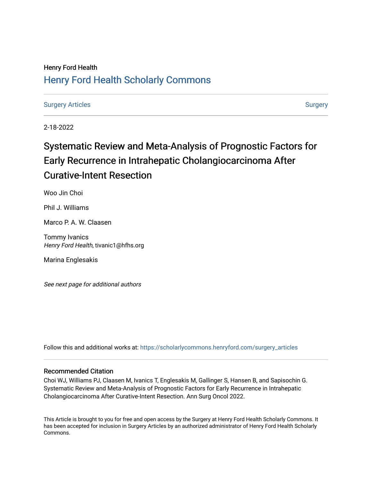# Henry Ford Health [Henry Ford Health Scholarly Commons](https://scholarlycommons.henryford.com/)

[Surgery Articles](https://scholarlycommons.henryford.com/surgery_articles) **[Surgery](https://scholarlycommons.henryford.com/surgery) Articles** Surgery

2-18-2022

# Systematic Review and Meta-Analysis of Prognostic Factors for Early Recurrence in Intrahepatic Cholangiocarcinoma After Curative-Intent Resection

Woo Jin Choi

Phil J. Williams

Marco P. A. W. Claasen

Tommy Ivanics Henry Ford Health, tivanic1@hfhs.org

Marina Englesakis

See next page for additional authors

Follow this and additional works at: [https://scholarlycommons.henryford.com/surgery\\_articles](https://scholarlycommons.henryford.com/surgery_articles?utm_source=scholarlycommons.henryford.com%2Fsurgery_articles%2F567&utm_medium=PDF&utm_campaign=PDFCoverPages)

## Recommended Citation

Choi WJ, Williams PJ, Claasen M, Ivanics T, Englesakis M, Gallinger S, Hansen B, and Sapisochin G. Systematic Review and Meta-Analysis of Prognostic Factors for Early Recurrence in Intrahepatic Cholangiocarcinoma After Curative-Intent Resection. Ann Surg Oncol 2022.

This Article is brought to you for free and open access by the Surgery at Henry Ford Health Scholarly Commons. It has been accepted for inclusion in Surgery Articles by an authorized administrator of Henry Ford Health Scholarly Commons.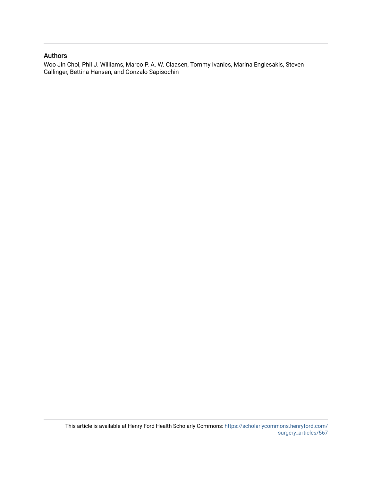## Authors

Woo Jin Choi, Phil J. Williams, Marco P. A. W. Claasen, Tommy Ivanics, Marina Englesakis, Steven Gallinger, Bettina Hansen, and Gonzalo Sapisochin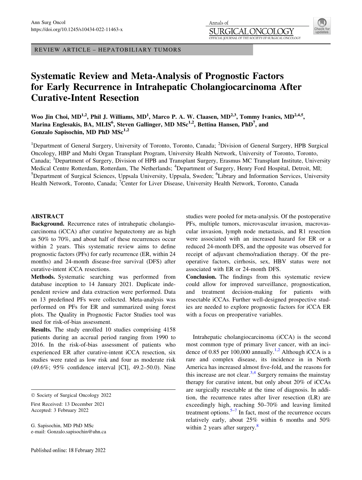REVIEW ARTICLE – HEPATOBILIARY TUMORS

# Systematic Review and Meta-Analysis of Prognostic Factors for Early Recurrence in Intrahepatic Cholangiocarcinoma After Curative-Intent Resection

Woo Jin Choi, MD<sup>1,2</sup>, Phil J. Williams, MD<sup>1</sup>, Marco P. A. W. Claasen, MD<sup>2,3</sup>, Tommy Ivanics, MD<sup>2,4,5</sup>, Marina Englesakis, BA, MLIS $^6$ , Steven Gallinger, MD MSc $^{1,2}$ , Bettina Hansen, PhD $^7$ , and Gonzalo Sapisochin, MD PhD  $MSc^{1,2}$ 

<sup>1</sup>Department of General Surgery, University of Toronto, Toronto, Canada; <sup>2</sup>Division of General Surgery, HPB Surgical Oncology, HBP and Multi Organ Transplant Program, University Health Network, University of Toronto, Toronto, Canada; <sup>3</sup>Department of Surgery, Division of HPB and Transplant Surgery, Erasmus MC Transplant Institute, University Medical Centre Rotterdam, Rotterdam, The Netherlands; <sup>4</sup>Department of Surgery, Henry Ford Hospital, Detroit, MI; <sup>5</sup>Department of Surgical Sciences, Uppsala University, Uppsala, Sweden; <sup>6</sup>Library and Information Services, University Health Network, Toronto, Canada; <sup>7</sup>Center for Liver Disease, University Health Network, Toronto, Canada

#### ABSTRACT

Background. Recurrence rates of intrahepatic cholangiocarcinoma (iCCA) after curative hepatectomy are as high as 50% to 70%, and about half of these recurrences occur within 2 years. This systematic review aims to define prognostic factors (PFs) for early recurrence (ER, within 24 months) and 24-month disease-free survival (DFS) after curative-intent iCCA resections.

Methods. Systematic searching was performed from database inception to 14 January 2021. Duplicate independent review and data extraction were performed. Data on 13 predefined PFs were collected. Meta-analysis was performed on PFs for ER and summarized using forest plots. The Quality in Prognostic Factor Studies tool was used for risk-of-bias assessment.

Results. The study enrolled 10 studies comprising 4158 patients during an accrual period ranging from 1990 to 2016. In the risk-of-bias assessment of patients who experienced ER after curative-intent iCCA resection, six studies were rated as low risk and four as moderate risk (49.6%; 95% confidence interval [CI], 49.2–50.0). Nine

First Received: 13 December 2021 Accepted: 3 February 2022

G. Sapisochin, MD PhD MSc e-mail: Gonzalo.sapisochin@uhn.ca studies were pooled for meta-analysis. Of the postoperative PFs, multiple tumors, microvascular invasion, macrovascular invasion, lymph node metastasis, and R1 resection were associated with an increased hazard for ER or a reduced 24-month DFS, and the opposite was observed for receipt of adjuvant chemo/radiation therapy. Of the preoperative factors, cirrhosis, sex, HBV status were not associated with ER or 24-month DFS.

Conclusion. The findings from this systematic review could allow for improved surveillance, prognostication, and treatment decision-making for patients with resectable iCCAs. Further well-designed prospective studies are needed to explore prognostic factors for iCCA ER with a focus on preoperative variables.

Intrahepatic cholangiocarcinoma (iCCA) is the second most common type of primary liver cancer, with an inci-dence of 0.85 per 100,000 annually.<sup>[1,2](#page-17-0)</sup> Although iCCA is a rare and complex disease, its incidence in in North America has increased almost five-fold, and the reasons for this increase are not clear. $3,4$  Surgery remains the mainstay therapy for curative intent, but only about 20% of iCCAs are surgically resectable at the time of diagnosis. In addition, the recurrence rates after liver resection (LR) are exceedingly high, reaching 50–70% and leaving limited treatment options. $5-7$  In fact, most of the recurrence occurs relatively early, about 25% within 6 months and 50% within 2 years after surgery. $8$ 

 $©$  Society of Surgical Oncology 2022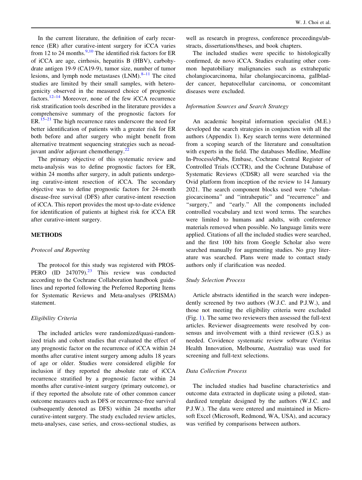In the current literature, the definition of early recurrence (ER) after curative-intent surgery for iCCA varies from 12 to 24 months. $\frac{9,10}{9}$  $\frac{9,10}{9}$  $\frac{9,10}{9}$  The identified risk factors for ER of iCCA are age, cirrhosis, hepatitis B (HBV), carbohydrate antigen 19-9 (CA19-9), tumor size, number of tumor lesions, and lymph node metastases  $(LNM).<sup>8–11</sup>$  $(LNM).<sup>8–11</sup>$  $(LNM).<sup>8–11</sup>$  The cited studies are limited by their small samples, with heterogenicity observed in the measured choice of prognostic factors.<sup>[12](#page-17-0)–[14](#page-17-0)</sup> Moreover, none of the few iCCA recurrence risk stratification tools described in the literature provides a comprehensive summary of the prognostic factors for ER.<sup>[15–21](#page-17-0)</sup> The high recurrence rates underscore the need for better identification of patients with a greater risk for ER both before and after surgery who might benefit from alternative treatment sequencing strategies such as neoad-juvant and/or adjuvant chemotherapy.<sup>[22](#page-17-0)</sup>

The primary objective of this systematic review and meta-analysis was to define prognostic factors for ER, within 24 months after surgery, in adult patients undergoing curative-intent resection of iCCA. The secondary objective was to define prognostic factors for 24-month disease-free survival (DFS) after curative-intent resection of iCCA. This report provides the most up-to-date evidence for identification of patients at highest risk for iCCA ER after curative-intent surgery.

#### METHODS

#### Protocol and Reporting

The protocol for this study was registered with PROS-PERO (ID  $247079$ ).<sup>[23](#page-17-0)</sup> This review was conducted according to the Cochrane Collaboration handbook guidelines and reported following the Preferred Reporting Items for Systematic Reviews and Meta-analyses (PRISMA) statement.

#### Eligibility Criteria

The included articles were randomized/quasi-randomized trials and cohort studies that evaluated the effect of any prognostic factor on the recurrence of iCCA within 24 months after curative intent surgery among adults 18 years of age or older. Studies were considered eligible for inclusion if they reported the absolute rate of iCCA recurrence stratified by a prognostic factor within 24 months after curative-intent surgery (primary outcome), or if they reported the absolute rate of other common cancer outcome measures such as DFS or recurrence-free survival (subsequently denoted as DFS) within 24 months after curative-intent surgery. The study excluded review articles, meta-analyses, case series, and cross-sectional studies, as

well as research in progress, conference proceedings/abstracts, dissertations/theses, and book chapters.

The included studies were specific to histologically confirmed, de novo iCCA. Studies evaluating other common hepatobiliary malignancies such as extrahepatic cholangiocarcinoma, hilar cholangiocarcinoma, gallbladder cancer, hepatocellular carcinoma, or concomitant diseases were excluded.

#### Information Sources and Search Strategy

An academic hospital information specialist (M.E.) developed the search strategies in conjunction with all the authors (Appendix 1). Key search terms were determined from a scoping search of the literature and consultation with experts in the field. The databases Medline, Medline In-Process/ePubs, Embase, Cochrane Central Register of Controlled Trials (CCTR), and the Cochrane Database of Systematic Reviews (CDSR) all were searched via the Ovid platform from inception of the review to 14 January 2021. The search component blocks used were ''cholangiocarcinoma'' and ''intrahepatic'' and ''recurrence'' and "surgery," and "early." All the components included controlled vocabulary and text word terms. The searches were limited to humans and adults, with conference materials removed when possible. No language limits were applied. Citations of all the included studies were searched, and the first 100 hits from Google Scholar also were searched manually for augmenting studies. No gray literature was searched. Plans were made to contact study authors only if clarification was needed.

#### Study Selection Process

Article abstracts identified in the search were independently screened by two authors (W.J.C. and P.J.W.), and those not meeting the eligibility criteria were excluded (Fig. [1\)](#page-4-0). The same two reviewers then assessed the full-text articles. Reviewer disagreements were resolved by consensus and involvement with a third reviewer (G.S.) as needed. Covidence systematic review software (Veritas Health Innovation, Melbourne, Australia) was used for screening and full-text selections.

#### Data Collection Process

The included studies had baseline characteristics and outcome data extracted in duplicate using a piloted, standardized template designed by the authors (W.J.C. and P.J.W.). The data were entered and maintained in Microsoft Excel (Microsoft, Redmond, WA, USA), and accuracy was verified by comparisons between authors.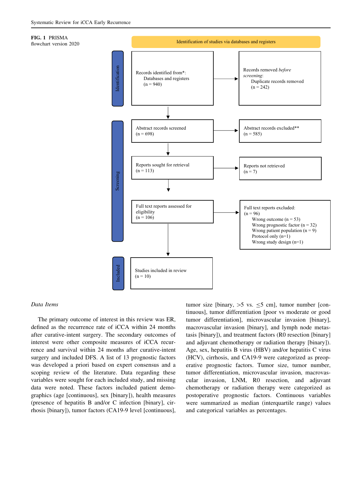<span id="page-4-0"></span>



#### Data Items

The primary outcome of interest in this review was ER, defined as the recurrence rate of iCCA within 24 months after curative-intent surgery. The secondary outcomes of interest were other composite measures of iCCA recurrence and survival within 24 months after curative-intent surgery and included DFS. A list of 13 prognostic factors was developed a priori based on expert consensus and a scoping review of the literature. Data regarding these variables were sought for each included study, and missing data were noted. These factors included patient demographics (age [continuous], sex [binary]), health measures (presence of hepatitis B and/or C infection [binary], cirrhosis [binary]), tumor factors (CA19-9 level [continuous], tumor size [binary,  $>5$  vs.  $\leq 5$  cm], tumor number [continuous], tumor differentiation [poor vs moderate or good tumor differentiation], microvascular invasion [binary], macrovascular invasion [binary], and lymph node metastasis [binary]), and treatment factors (R0 resection [binary] and adjuvant chemotherapy or radiation therapy [binary]). Age, sex, hepatitis B virus (HBV) and/or hepatitis C virus (HCV), cirrhosis, and CA19-9 were categorized as preoperative prognostic factors. Tumor size, tumor number, tumor differentiation, microvascular invasion, macrovascular invasion, LNM, R0 resection, and adjuvant chemotherapy or radiation therapy were categorized as postoperative prognostic factors. Continuous variables were summarized as median (interquartile range) values and categorical variables as percentages.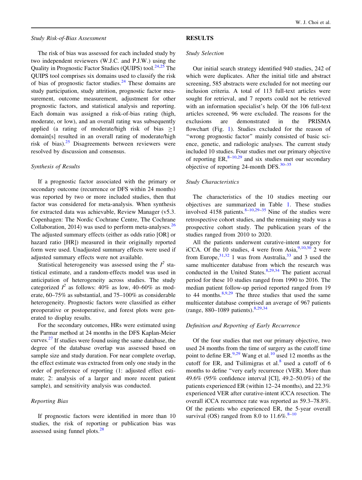#### Study Risk-of-Bias Assessment

## The risk of bias was assessed for each included study by two independent reviewers (W.J.C. and P.J.W.) using the Quality in Prognostic Factor Studies (QUIPS) tool.<sup>[24,25](#page-17-0)</sup> The QUIPS tool comprises six domains used to classify the risk of bias of prognostic factor studies. $^{24}$  $^{24}$  $^{24}$  These domains are study participation, study attrition, prognostic factor measurement, outcome measurement, adjustment for other prognostic factors, and statistical analysis and reporting. Each domain was assigned a risk-of-bias rating (high, moderate, or low), and an overall rating was subsequently applied (a rating of moderate/high risk of bias  $\geq 1$ domain[s] resulted in an overall rating of moderate/high risk of bias). $25$  Disagreements between reviewers were resolved by discussion and consensus.

#### Synthesis of Results

If a prognostic factor associated with the primary or secondary outcome (recurrence or DFS within 24 months) was reported by two or more included studies, then that factor was considered for meta-analysis. When synthesis for extracted data was achievable, Review Manager (v5.3. Copenhagen: The Nordic Cochrane Centre, The Cochrane Collaboration, 2014) was used to perform meta-analyses. $26$ The adjusted summary effects (either as odds ratio [OR] or hazard ratio [HR]) measured in their originally reported form were used. Unadjusted summary effects were used if adjusted summary effects were not available.

Statistical heterogeneity was assessed using the  $I^2$  statistical estimate, and a random-effects model was used in anticipation of heterogeneity across studies. The study categorized  $I^2$  as follows: 40% as low, 40–60% as moderate, 60–75% as substantial, and 75–100% as considerable heterogeneity. Prognostic factors were classified as either preoperative or postoperative, and forest plots were generated to display results.

For the secondary outcomes, HRs were estimated using the Parmar method at 24 months in the DFS Kaplan-Meier curves.[27](#page-17-0) If studies were found using the same database, the degree of the database overlap was assessed based on sample size and study duration. For near complete overlap, the effect estimate was extracted from only one study in the order of preference of reporting (1: adjusted effect estimate; 2: analysis of a larger and more recent patient sample), and sensitivity analysis was conducted.

#### Reporting Bias

If prognostic factors were identified in more than 10 studies, the risk of reporting or publication bias was assessed using funnel plots.<sup>[28](#page-17-0)</sup>

#### RESULTS

#### Study Selection

Our initial search strategy identified 940 studies, 242 of which were duplicates. After the initial title and abstract screening, 585 abstracts were excluded for not meeting our inclusion criteria. A total of 113 full-text articles were sought for retrieval, and 7 reports could not be retrieved with an information specialist's help. Of the 106 full-text articles screened, 96 were excluded. The reasons for the exclusions are demonstrated in the PRISMA flowchart (Fig. [1\)](#page-4-0). Studies excluded for the reason of ''wrong prognostic factor'' mainly consisted of basic science, genetic, and radiologic analyses. The current study included 10 studies. Four studies met our primary objective of reporting  $ER<sub>10,29</sub>$  $ER<sub>10,29</sub>$  $ER<sub>10,29</sub>$  and six studies met our secondary objective of reporting 24-month DFS. $30-35$  $30-35$ 

#### Study Characteristics

The characteristics of the 10 studies meeting our objectives are summarized in Table [1.](#page-6-0) These studies involved 4158 patients. $8-10,29-35$  $8-10,29-35$  Nine of the studies were retrospective cohort studies, and the remaining study was a prospective cohort study. The publication years of the studies ranged from 2010 to 2020.

All the patients underwent curative-intent surgery for iCCA. Of the 10 studies, 4 were from Asia,  $9,10,30$  2 were from Europe,  $3^{1,32}$  $3^{1,32}$  $3^{1,32}$  1 was from Australia,  $3^{3}$  and 3 used the same multicenter database from which the research was conducted in the United States. $8,29,34$  $8,29,34$  The patient accrual period for these 10 studies ranged from 1990 to 2016. The median patient follow-up period reported ranged from 19 to 44 months. $8,9,29$  $8,9,29$  $8,9,29$  The three studies that used the same multicenter database comprised an average of 967 patients (range, 880–1089 patients).<sup>[8,29,](#page-17-0)[34](#page-18-0)</sup>

#### Definition and Reporting of Early Recurrence

Of the four studies that met our primary objective, two used 24 months from the time of surgery as the cutoff time point to define ER.<sup>[9,29](#page-17-0)</sup> Wang et al.<sup>[10](#page-17-0)</sup> used 12 months as the cutoff for ER, and Tsilimigras et al. $8$  used a cutoff of 6 months to define ''very early recurrence (VER). More than 49.6% (95% confidence interval [CI], 49.2–50.0%) of the patients experienced ER (within 12–24 months), and 22.3% experienced VER after curative-intent iCCA resection. The overall iCCA recurrence rate was reported as 59.3–78.8%. Of the patients who experienced ER, the 5-year overall survival (OS) ranged from 8.0 to  $11.6\%$ .<sup>8-10</sup>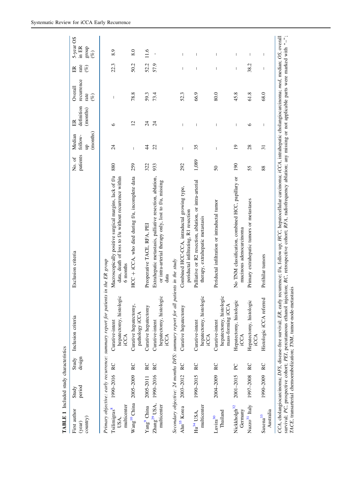<span id="page-6-0"></span>

| First author<br>country)<br>(year)              | period<br>Study | Study<br>design | Inclusion criteria                                                               | Exclusion criteria                                                                                                                                                                                                                                                                                                                                                                    | patients<br>No. of | (months)<br>Median<br>follow-<br>ցե   | definition<br>(months)<br>ER | recurrence<br>Overall<br>rate<br>$($ %) | rate<br>$(\%)$<br>ER           | 5-year OS<br>in ER<br>group<br>$(\%)$                                                                                                                                                                                                                                                                                                                                            |
|-------------------------------------------------|-----------------|-----------------|----------------------------------------------------------------------------------|---------------------------------------------------------------------------------------------------------------------------------------------------------------------------------------------------------------------------------------------------------------------------------------------------------------------------------------------------------------------------------------|--------------------|---------------------------------------|------------------------------|-----------------------------------------|--------------------------------|----------------------------------------------------------------------------------------------------------------------------------------------------------------------------------------------------------------------------------------------------------------------------------------------------------------------------------------------------------------------------------|
|                                                 |                 |                 | Primary objective: early recurrence: summary report for patients in the ER group |                                                                                                                                                                                                                                                                                                                                                                                       |                    |                                       |                              |                                         |                                |                                                                                                                                                                                                                                                                                                                                                                                  |
| multicenter<br>Tsilimigras <sup>8</sup><br>USA. | 1990-2016 RC    |                 | hepatectomy, histologic<br>Curative-intent<br>iCCA                               | Macroscopically positive surgical margins, lack of f/u<br>data, death of loss to f/u without recurrence within<br>6 months                                                                                                                                                                                                                                                            | 880                | 24                                    | $\circ$                      | $\overline{\phantom{a}}$                | 22.3                           | 8.9                                                                                                                                                                                                                                                                                                                                                                              |
| Wang <sup>10</sup> China 2005-2009 RC           |                 |                 | Curative hepatectomy,<br>pathology iCCA                                          | HCC + iCCA, who died during f/u, incomplete data                                                                                                                                                                                                                                                                                                                                      | 259                | $\begin{array}{c} \hline \end{array}$ | $\overline{c}$               | 78.8                                    | 50.2                           | 8.0                                                                                                                                                                                                                                                                                                                                                                              |
| Yang <sup>9</sup> China                         | 2005-2011       | RC              | Curative hepatectomy                                                             | Preoperative TACE, RFA, PEI                                                                                                                                                                                                                                                                                                                                                           | 322                | $\overline{4}$                        | $\overline{24}$              | 59.3                                    | 52.2                           | 11.6                                                                                                                                                                                                                                                                                                                                                                             |
| Zhang <sup>29</sup> USA,<br>multicenter         | 1990-2016 RC    |                 | hepatectomy, histologic<br>Curative-intent<br>iCCA                               | Extrahepatic metastasis, palliative resection, ablation,<br>or intra-arterial therapy only, lost to f/u, missing<br>data                                                                                                                                                                                                                                                              | 933                | 22                                    | $\overline{z}$               | 73.4                                    | 57.9                           |                                                                                                                                                                                                                                                                                                                                                                                  |
|                                                 |                 |                 | Secondary objective: 24 months DFS: summary report for all patients in the study |                                                                                                                                                                                                                                                                                                                                                                                       |                    |                                       |                              |                                         |                                |                                                                                                                                                                                                                                                                                                                                                                                  |
| Ahn <sup>35</sup> Korea                         | 2003-2012       | RC              | Curative hepatectomy                                                             | Combined HCC-CCA, intraductal growing type,<br>periductal infiltrating, R1 resection                                                                                                                                                                                                                                                                                                  | 292                | $\begin{array}{c} \hline \end{array}$ | I                            | 52.3                                    | I                              | I                                                                                                                                                                                                                                                                                                                                                                                |
| multicenter<br>$Hu^{34} USA$                    | 1990-2015 RC    |                 | hepatectomy, histologic<br>Curative-intent<br>iCCA                               | Palliative or R2 resection, ablation, or intra-arterial<br>therapy, extrahepatic metastasis                                                                                                                                                                                                                                                                                           | 1,089              | 35                                    | I                            | 66.9                                    | ı                              |                                                                                                                                                                                                                                                                                                                                                                                  |
| Thailand<br>Luvira <sup>30</sup>                | 2004-2009 RC    |                 | hepatectomy, histologic<br>mass-forming iCCA<br>Curative-intent                  | Periductal infiltration or intraductal tumor                                                                                                                                                                                                                                                                                                                                          | 50                 | I                                     | I                            | 80.0                                    | I                              | I                                                                                                                                                                                                                                                                                                                                                                                |
| Nickkholgh <sup>32</sup><br>Germany             | 2001-2015       | PC              | Hepatectomy, histologic<br>iCA                                                   | No TNM classification, combined HCC, papillary or<br>mucinous adenocarcinoma                                                                                                                                                                                                                                                                                                          | 190                | $\overline{19}$                       | $\overline{1}$               | 45.8                                    | $\overline{1}$                 | I                                                                                                                                                                                                                                                                                                                                                                                |
| Nuzzo <sup>31</sup> Italy                       | 1997-2008       | RC              | Hepatectomy, histologic<br>iCCA                                                  | Primary extrahepatic tumors or metastases                                                                                                                                                                                                                                                                                                                                             | 55                 | 28                                    | $\circ$                      | 61.8                                    | 38.2                           |                                                                                                                                                                                                                                                                                                                                                                                  |
| Australia<br>Saxena <sup>33</sup>               | 1990-2009 RC    |                 | Histologic iCCA referred                                                         | Perihilar tumors                                                                                                                                                                                                                                                                                                                                                                      | 88                 | $\overline{31}$                       | $\overline{\phantom{a}}$     | 68.0                                    | $\begin{array}{c} \end{array}$ | $\begin{array}{c} \rule{0pt}{2.5ex} \rule{0pt}{2.5ex} \rule{0pt}{2.5ex} \rule{0pt}{2.5ex} \rule{0pt}{2.5ex} \rule{0pt}{2.5ex} \rule{0pt}{2.5ex} \rule{0pt}{2.5ex} \rule{0pt}{2.5ex} \rule{0pt}{2.5ex} \rule{0pt}{2.5ex} \rule{0pt}{2.5ex} \rule{0pt}{2.5ex} \rule{0pt}{2.5ex} \rule{0pt}{2.5ex} \rule{0pt}{2.5ex} \rule{0pt}{2.5ex} \rule{0pt}{2.5ex} \rule{0pt}{2.5ex} \rule{0$ |
|                                                 |                 |                 |                                                                                  | survival; PC, prospective cohort; PEI, percutaneous ethanol injection; RC, retrospective cohort; RFA, radiofrequency ablation; any missing or not applicable parts were marked with "-";<br>CCA, cholangiocarcinoma; DFS, disease-free survival; ER, early recurrence; f/u, follow up; HCC, hepatocellular carcinoma; iCCA, intrahepatic cholangiocarcinoma; med, median; OS, overall |                    |                                       |                              |                                         |                                |                                                                                                                                                                                                                                                                                                                                                                                  |
|                                                 |                 |                 |                                                                                  |                                                                                                                                                                                                                                                                                                                                                                                       |                    |                                       |                              |                                         |                                |                                                                                                                                                                                                                                                                                                                                                                                  |

survival; PC, prospective cohort; PEI, percutaneous ethanol injection; RC, retrospective cohort; RFA, radiofrequency ablation; any missing or not applicable parts were marked with "-"; missing or not applicable parts were marked with " ablation; any survival; PC, prospective cohort; PEI, percutaneous ethanol injection; RC, retrospective cohort; RFA, radiofrequency a TACE, transarterial chemoembolization; TNM, tumor-node-metastasis TACE, transarterial chemoembolization; TNM, tumor-node-metastasis

TABLE 1 Included study characteristics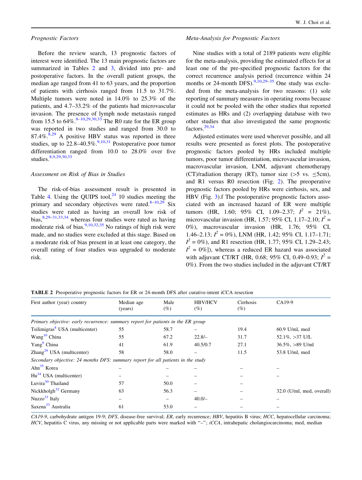#### Prognostic Factors

Before the review search, 13 prognostic factors of interest were identified. The 13 main prognostic factors are summarized in Tables 2 and [3,](#page-8-0) divided into pre- and postoperative factors. In the overall patient groups, the median age ranged from 41 to 63 years, and the proportion of patients with cirrhosis ranged from 11.5 to 31.7%. Multiple tumors were noted in 14.0% to 25.3% of the patients, and 4.7–33.2% of the patients had microvascular invasion. The presence of lymph node metastasis ranged from 15.5 to  $64\%$ .  $8-10,29,30,33$  $8-10,29,30,33$  $8-10,29,30,33$  The R0 rate for the ER group was reported in two studies and ranged from 30.0 to  $87.4\%$  $87.4\%$ .<sup>8,[29](#page-17-0)</sup> A positive HBV status was reported in three studies, up to  $22.8-40.5\%$ .<sup>[9,10,31](#page-17-0)</sup> Postoperative poor tumor differentiation ranged from 10.0 to 28.0% over five studies.<sup>[8](#page-17-0),[9,29](#page-17-0),[30](#page-17-0)[,33](#page-18-0)</sup>

#### Assessment on Risk of Bias in Studies

The risk-of-bias assessment result is presented in Table [4.](#page-9-0) Using the OUIPS tool, $^{24}$  $^{24}$  $^{24}$  10 studies meeting the primary and secondary objectives were rated. $8-10,29$  $8-10,29$  $8-10,29$  Six studies were rated as having an overall low risk of bias,  $8,29-31,33,34$  $8,29-31,33,34$  whereas four studies were rated as having moderate risk of bias.<sup>[9](#page-17-0),[10](#page-17-0)[,32,35](#page-18-0)</sup> No ratings of high risk were made, and no studies were excluded at this stage. Based on a moderate risk of bias present in at least one category, the overall rating of four studies was upgraded to moderate risk.

#### Meta-Analysis for Prognostic Factors

Nine studies with a total of 2189 patients were eligible for the meta-analysis, providing the estimated effects for at least one of the pre-specified prognostic factors for the correct recurrence analysis period (recurrence within 24 months or 24-month DFS).<sup>[9,10,29–](#page-17-0)[35](#page-18-0)</sup> One study was excluded from the meta-analysis for two reasons: (1) sole reporting of summary measures in operating rooms because it could not be pooled with the other studies that reported estimates as HRs and (2) overlapping database with two other studies that also investigated the same prognostic factors.[29](#page-17-0)[,34](#page-18-0)

Adjusted estimates were used wherever possible, and all results were presented as forest plots. The postoperative prognostic factors pooled by HRs included multiple tumors, poor tumor differentiation, microvascular invasion, macrovascular invasion, LNM, adjuvant chemotherapy (CT)/radiation therapy (RT), tumor size ( $>5$  vs.  $\leq$ 5cm), and R1 versus R0 resection (Fig. [2\)](#page-10-0). The preoperative prognostic factors pooled by HRs were cirrhosis, sex, and HBV (Fig. [3](#page-11-0)).f The postoperative prognostic factors associated with an increased hazard of ER were multiple tumors (HR, 1.60; 95% CI, 1.09–2.37;  $I^2 = 21\%$ ), microvascular invasion (HR, 1.57; 95% CI, 1.17–2.10;  $I^2$  = 0%), macrovascular invasion (HR, 1.76; 95% CI, 1.46–2.13;  $I^2 = 0\%$ ), LNM (HR, 1.42; 95% CI, 1.17–1.71;  $I^2 = 0\%$ ), and R1 resection (HR, 1.77; 95% CI, 1.29–2.43;  $I^2 = 0\%$ ]), whereas a reduced ER hazard was associated with adjuvant CT/RT (HR, 0.68; 95% CI, 0.49–0.93;  $I^2$  = 0%). From the two studies included in the adjuvant CT/RT

TABLE 2 Preoperative prognostic factors for ER or 24-month DFS after curative-intent iCCA resection

| First author (year) country                                                      | Median age<br>(years) | Male<br>$(\%)$ | <b>HBV/HCV</b><br>(%) | Cirrhosis<br>(%) | CA19-9                    |
|----------------------------------------------------------------------------------|-----------------------|----------------|-----------------------|------------------|---------------------------|
| Primary objective: early recurrence: summary report for patients in the ER group |                       |                |                       |                  |                           |
| Tsilimigras <sup>8</sup> USA (multicenter)                                       | 55                    | 58.7           |                       | 19.4             | $60.9$ U/ml, med          |
| Wang <sup>10</sup> China                                                         | 55                    | 67.2           | $22.8/-$              | 31.7             | $52.1\%$ , $>37$ U/L      |
| Yang <sup>9</sup> China                                                          | 41                    | 61.9           | 40.5/0.7              | 27.1             | $36.5\%$ , $>89$ U/ml     |
| $\text{Zhang}^{29}$ USA (multicenter)                                            | 58                    | 58.0           |                       | 11.5             | 53.8 U/ml, med            |
| Secondary objective: 24 months DFS: summary report for all patients in the study |                       |                |                       |                  |                           |
| Ahn <sup>35</sup> Korea                                                          |                       |                |                       |                  |                           |
| $Hu^{34}$ USA (multicenter)                                                      |                       |                |                       |                  |                           |
| Luvira <sup>30</sup> Thailand                                                    | 57                    | 50.0           |                       |                  |                           |
| Nickkholgh $32$ Germany                                                          | 63                    | 56.3           |                       |                  | 32.0 (U/ml, med, overall) |
| Nuzzo $31$ Italy                                                                 |                       |                | $40.0/-$              |                  |                           |
| Saxena <sup>33</sup> Australia                                                   | 61                    | 53.0           |                       |                  |                           |
|                                                                                  |                       |                |                       |                  |                           |

CA19-9, carbohydrate antigen 19-9; DFS, disease-free survival; ER, early recurrence; HBV, hepatitis B virus; HCC, hepatocellular carcinoma; HCV, hepatitis C virus, any missing or not applicable parts were marked with "-"; iCCA, intrahepatic cholangiocarcinoma; med, median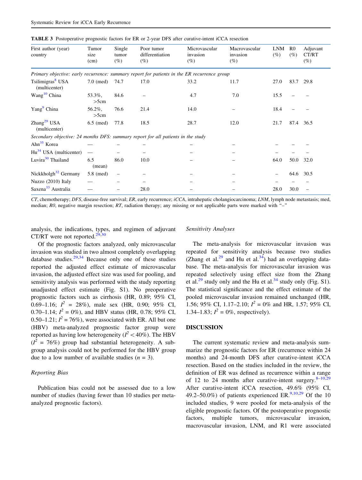| First author (year)<br>country                                                              | Tumor<br>size<br>(cm) | Single<br>tumor<br>$(\%)$ | Poor tumor<br>differentiation<br>(%) | Microvascular<br>invasion<br>(%) | Macrovascular<br>invasion<br>$(\%)$ | <b>LNM</b><br>$(\%)$ | R <sub>0</sub><br>$(\%)$ | Adjuvant<br>CT/RT<br>$(\%)$ |
|---------------------------------------------------------------------------------------------|-----------------------|---------------------------|--------------------------------------|----------------------------------|-------------------------------------|----------------------|--------------------------|-----------------------------|
| Primary objective: early recurrence: summary report for patients in the ER recurrence group |                       |                           |                                      |                                  |                                     |                      |                          |                             |
| Tsilimigras <sup>8</sup> USA<br>(multicenter)                                               | $7.0 \text{ (med)}$   | 74.7                      | 17.0                                 | 33.2                             | 11.7                                | 27.0                 | 83.7 29.8                |                             |
| Wang <sup>10</sup> China                                                                    | 53.3%,<br>>5cm        | 84.6                      |                                      | 4.7                              | 7.0                                 | 15.5                 |                          |                             |
| Yang <sup>9</sup> China                                                                     | 56.2%,<br>>5cm        | 76.6                      | 21.4                                 | 14.0                             |                                     | 18.4                 |                          |                             |
| Zhang <sup>29</sup> USA<br>(multicenter)                                                    | $6.5 \pmod{2}$        | 77.8                      | 18.5                                 | 28.7                             | 12.0                                | 21.7                 | 87.4 36.5                |                             |
| Secondary objective: 24 months DFS: summary report for all patients in the study            |                       |                           |                                      |                                  |                                     |                      |                          |                             |
| Ahn <sup>35</sup> Korea                                                                     |                       |                           |                                      |                                  |                                     |                      |                          |                             |
| $Hu^{34}$ USA (multicenter)                                                                 |                       |                           |                                      |                                  |                                     |                      |                          |                             |
| Luvira <sup>30</sup> Thailand                                                               | 6.5<br>(mean)         | 86.0                      | 10.0                                 |                                  |                                     | 64.0                 | 50.0                     | 32.0                        |
| Nickkholgh $32$ Germany                                                                     | 5.8 (med)             |                           |                                      |                                  |                                     |                      | 64.6                     | 30.5                        |
| Nuzzo (2010) Italy                                                                          |                       |                           |                                      |                                  |                                     |                      |                          |                             |
| Saxena <sup>33</sup> Australia                                                              |                       |                           | 28.0                                 |                                  |                                     | 28.0                 | 30.0                     |                             |

<span id="page-8-0"></span>TABLE 3 Postoperative prognostic factors for ER or 2-year DFS after curative-intent iCCA resection

 $CT$ , chemotherapy; DFS, disease-free survival; ER, early recurrence;  $iCCA$ , intrahepatic cholangiocarcinoma; LNM, lymph node metastasis; med, median; R0, negative margin resection; RT, radiation therapy; any missing or not applicable parts were marked with "-"

analysis, the indications, types, and regimen of adjuvant CT/RT were not reported. $29,30$ 

#### Sensitivity Analyses

Of the prognostic factors analyzed, only microvascular invasion was studied in two almost completely overlapping database studies.<sup>[29](#page-17-0)[,34](#page-18-0)</sup> Because only one of these studies reported the adjusted effect estimate of microvascular invasion, the adjusted effect size was used for pooling, and sensitivity analysis was performed with the study reporting unadjusted effect estimate (Fig. S1). No preoperative prognostic factors such as cirrhosis (HR, 0.89; 95% CI, 0.69–1.16;  $I^2 = 28\%$ ), male sex (HR, 0.90; 95% CI, 0.70–1.14;  $I^2 = 0\%$ ), and HBV status (HR, 0.78; 95% CI, 0.50–1.21;  $I^2 = 76\%$ ), were associated with ER. All but one (HBV) meta-analyzed prognostic factor group were reported as having low heterogeneity ( $I^2 < 40\%$ ). The HBV  $(I<sup>2</sup> = 76%)$  group had substantial heterogeneity. A subgroup analysis could not be performed for the HBV group due to a low number of available studies  $(n = 3)$ .

#### Reporting Bias

Publication bias could not be assessed due to a low number of studies (having fewer than 10 studies per metaanalyzed prognostic factors).

The meta-analysis for microvascular invasion was repeated for sensitivity analysis because two studies (Zhang et al.<sup>[29](#page-17-0)</sup> and Hu et al.<sup>34</sup>) had an overlapping database. The meta-analysis for microvascular invasion was repeated selectively using effect size from the Zhang et al.<sup>[29](#page-17-0)</sup> study only and the Hu et al.<sup>[34](#page-18-0)</sup> study only (Fig. S1). The statistical significance and the effect estimate of the pooled microvascular invasion remained unchanged (HR, 1.56; 95% CI, 1.17–2.10;  $I^2 = 0\%$  and HR, 1.57; 95% CI, 1.34–1.83;  $I^2 = 0\%$ , respectively).

#### DISCUSSION

The current systematic review and meta-analysis summarize the prognostic factors for ER (recurrence within 24 months) and 24-month DFS after curative-intent iCCA resection. Based on the studies included in the review, the definition of ER was defined as recurrence within a range of 12 to 24 months after curative-intent surgery.  $8-10,29$ After curative-intent iCCA resection, 49.6% (95% CI, 49.2–50.0%) of patients experienced ER.<sup>[9,10](#page-17-0),[29](#page-17-0)</sup> Of the 10 included studies, 9 were pooled for meta-analysis of the eligible prognostic factors. Of the postoperative prognostic factors, multiple tumors, microvascular invasion, macrovascular invasion, LNM, and R1 were associated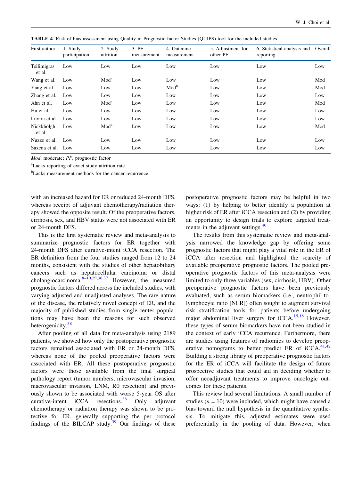<span id="page-9-0"></span>TABLE 4 Risk of bias assessment using Quality in Prognostic factor Studies (QUIPS) tool for the included studies

| First author          | 1. Study<br>participation | 2. Study<br>attrition | 3. PF<br>measurement | 4. Outcome<br>measurement | 5. Adjustment for<br>other PF | 6. Statistical analysis and<br>reporting | Overall |
|-----------------------|---------------------------|-----------------------|----------------------|---------------------------|-------------------------------|------------------------------------------|---------|
| Tsilimigras<br>et al. | Low                       | Low                   | Low                  | Low                       | Low                           | Low                                      | Low     |
| Wang et al.           | Low                       | Mod <sup>a</sup>      | Low                  | Low                       | Low                           | Low                                      | Mod     |
| Yang et al.           | Low                       | Low                   | Low                  | Mod <sup>b</sup>          | Low                           | Low                                      | Mod     |
| Zhang et al.          | Low                       | Low                   | Low                  | Low                       | Low                           | Low                                      | Low     |
| Ahn et al.            | Low                       | Mod <sup>a</sup>      | Low                  | Low                       | Low                           | Low                                      | Mod     |
| Hu et al.             | Low                       | Low                   | Low                  | Low                       | Low                           | Low                                      | Low     |
| Luvira et al.         | Low                       | Low                   | Low                  | Low                       | Low                           | Low                                      | Low     |
| Nickkholgh<br>et al.  | Low                       | Mod <sup>a</sup>      | Low                  | Low                       | Low                           | Low                                      | Mod     |
| Nuzzo et al.          | Low                       | Low                   | Low                  | Low                       | Low                           | Low                                      | Low     |
| Saxena et al.         | Low                       | Low                   | Low                  | Low                       | Low                           | Low                                      | Low     |

Mod, moderate; PF, prognostic factor

a Lacks reporting of exact study attrition rate

<sup>b</sup>Lacks measurement methods for the cancer recurrence.

with an increased hazard for ER or reduced 24-month DFS, whereas receipt of adjuvant chemotherapy/radiation therapy showed the opposite result. Of the preoperative factors, cirrhosis, sex, and HBV status were not associated with ER or 24-month DFS.

This is the first systematic review and meta-analysis to summarize prognostic factors for ER together with 24-month DFS after curative-intent iCCA resection. The ER definition from the four studies ranged from 12 to 24 months, consistent with the studies of other hepatobiliary cancers such as hepatocellular carcinoma or distal cholangiocarcinoma. $8-10,29,36,37$  $8-10,29,36,37$  However, the measured prognostic factors differed across the included studies, with varying adjusted and unadjusted analyses. The rare nature of the disease, the relatively novel concept of ER, and the majority of published studies from single-center populations may have been the reasons for such observed heterogenicity.<sup>[38](#page-18-0)</sup>

After pooling of all data for meta-analysis using 2189 patients, we showed how only the postoperative prognostic factors remained associated with ER or 24-month DFS, whereas none of the pooled preoperative factors were associated with ER. All these postoperative prognostic factors were those available from the final surgical pathology report (tumor numbers, microvascular invasion, macrovascular invasion, LNM, R0 resection) and previously shown to be associated with worse 5-year OS after curative-intent  $iCCA$  resections.<sup>[38](#page-18-0)</sup> Only adjuvant chemotherapy or radiation therapy was shown to be protective for ER, generally supporting the per protocol findings of the BILCAP study.<sup>[39](#page-18-0)</sup> Our findings of these postoperative prognostic factors may be helpful in two ways: (1) by helping to better identify a population at higher risk of ER after iCCA resection and (2) by providing an opportunity to design trials to explore targeted treat-ments in the adjuvant settings.<sup>[40](#page-18-0)</sup>

The results from this systematic review and meta-analysis narrowed the knowledge gap by offering some prognostic factors that might play a vital role in the ER of iCCA after resection and highlighted the scarcity of available preoperative prognostic factors. The pooled preoperative prognostic factors of this meta-analysis were limited to only three variables (sex, cirrhosis, HBV). Other preoperative prognostic factors have been previously evaluated, such as serum biomarkers (i.e., neutrophil-tolymphocyte ratio [NLR]) often sought to augment survival risk stratification tools for patients before undergoing major abdominal liver surgery for iCCA.<sup>15,18</sup> However, these types of serum biomarkers have not been studied in the context of early iCCA recurrence. Furthermore, there are studies using features of radiomics to develop preoperative nomograms to better predict ER of  $\text{icCA}.^{41,42}$ Building a strong library of preoperative prognostic factors for the ER of iCCA will facilitate the design of future prospective studies that could aid in deciding whether to offer neoadjuvant treatments to improve oncologic outcomes for these patients.

This review had several limitations. A small number of studies ( $n = 10$ ) were included, which might have caused a bias toward the null hypothesis in the quantitative synthesis. To mitigate this, adjusted estimates were used preferentially in the pooling of data. However, when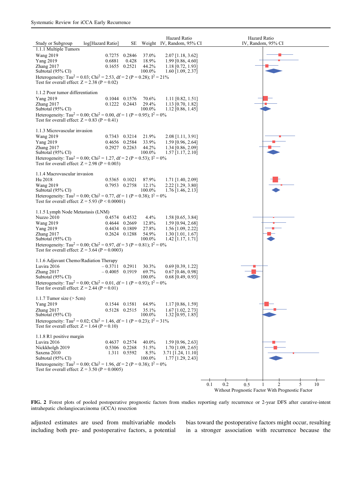<span id="page-10-0"></span>

FIG. 2 Forest plots of pooled postoperative prognostic factors from studies reporting early recurrence or 2-year DFS after curative-intent intrahepatic cholangiocarcinoma (iCCA) resection

adjusted estimates are used from multivariable models including both pre- and postoperative factors, a potential bias toward the postoperative factors might occur, resulting in a stronger association with recurrence because the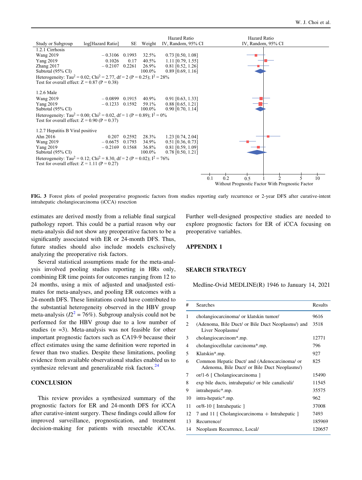<span id="page-11-0"></span>

FIG. 3 Forest plots of pooled preoperative prognostic factors from studies reporting early recurrence or 2-year DFS after curative-intent intrahepatic cholangiocarcinoma (iCCA) resection

estimates are derived mostly from a reliable final surgical pathology report. This could be a partial reason why our meta-analysis did not show any preoperative factors to be a significantly associated with ER or 24-month DFS. Thus, future studies should also include models exclusively analyzing the preoperative risk factors.

Several statistical assumptions made for the meta-analysis involved pooling studies reporting in HRs only, combining ER time points for outcomes ranging from 12 to 24 months, using a mix of adjusted and unadjusted estimates for meta-analyses, and pooling ER outcomes with a 24-month DFS. These limitations could have contributed to the substantial heterogeneity observed in the HBV group meta-analysis ( $I2^2 = 76\%$  $I2^2 = 76\%$  $I2^2 = 76\%$ ). Subgroup analysis could not be performed for the HBV group due to a low number of studies  $(n = 3)$ . Meta-analysis was not feasible for other important prognostic factors such as CA19-9 because their effect estimates using the same definition were reported in fewer than two studies. Despite these limitations, pooling evidence from available observational studies enabled us to synthesize relevant and generalizable risk factors.<sup>[24](#page-17-0)</sup>

#### **CONCLUSION**

This review provides a synthesized summary of the prognostic factors for ER and 24-month DFS for iCCA after curative-intent surgery. These findings could allow for improved surveillance, prognostication, and treatment decision-making for patients with resectable iCCAs.

Further well-designed prospective studies are needed to explore prognostic factors for ER of iCCA focusing on preoperative variables.

#### APPENDIX 1

#### SEARCH STRATEGY

Medline-Ovid MEDLINE(R) 1946 to January 14, 2021

| #  | Searches                                                                                     | Results |
|----|----------------------------------------------------------------------------------------------|---------|
| 1  | cholangiocarcinoma/ or klatskin tumor/                                                       | 9616    |
| 2  | (Adenoma, Bile Duct/ or Bile Duct Neoplasms/) and<br>Liver Neoplasms/                        | 3518    |
| 3  | cholangiocarcinom*.mp.                                                                       | 12771   |
| 4  | cholangiocellular carcinoma*.mp.                                                             | 796     |
| 5  | Klatskin*.mp.                                                                                | 927     |
| 6  | Common Hepatic Duct/ and (Adenocarcinoma/ or<br>Adenoma, Bile Duct/ or Bile Duct Neoplasms/) | 825     |
| 7  | or/1-6 [ Cholangiocarcinoma ]                                                                | 15490   |
| 8  | exp bile ducts, intrahepatic/ or bile canaliculi/                                            | 11545   |
| 9  | intrahepatic*.mp.                                                                            | 35575   |
| 10 | intra-hepatic*.mp.                                                                           | 962     |
| 11 | or/8-10 [Intrahepatic ]                                                                      | 37008   |
| 12 | 7 and 11 [ Cholangiocarcinoma $+$ Intrahepatic ]                                             | 7493    |
| 13 | Recurrence/                                                                                  | 185969  |
| 14 | Neoplasm Recurrence, Local/                                                                  | 120657  |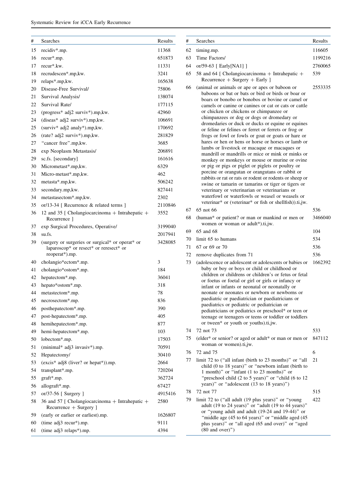| #  | Searches                                                                                                     | Results |
|----|--------------------------------------------------------------------------------------------------------------|---------|
| 15 | recidiv*.mp.                                                                                                 | 11368   |
| 16 | recur*.mp.                                                                                                   | 651873  |
| 17 | recur*.kw.                                                                                                   | 11331   |
| 18 | recrudescen*.mp,kw.                                                                                          | 3241    |
| 19 | relaps*.mp, kw.                                                                                              | 165638  |
| 20 | Disease-Free Survival/                                                                                       | 75806   |
| 21 | Survival Analysis/                                                                                           | 138074  |
| 22 | Survival Rate/                                                                                               | 177115  |
| 23 | (progress* adj2 surviv*).mp,kw.                                                                              | 42960   |
| 24 | (diseas* adj2 surviv*).mp,kw.                                                                                | 106691  |
| 25 | (surviv* adj2 analy*).mp,kw.                                                                                 | 170692  |
| 26 | (rate? adj2 surviv*).mp,kw.                                                                                  | 281829  |
| 27 | "cancer free".mp,kw.                                                                                         | 3685    |
| 28 | exp Neoplasm Metastasis/                                                                                     | 206891  |
| 29 | sc.fs. [secondary]                                                                                           | 161616  |
| 30 | Micrometast*.mp,kw.                                                                                          | 6329    |
| 31 | Micro-metast*.mp,kw.                                                                                         | 462     |
| 32 | metasta*.mp,kw.                                                                                              | 506242  |
| 33 | secondary.mp, kw.                                                                                            | 827441  |
| 34 | metastasectom*.mp,kw.                                                                                        | 2302    |
| 35 | or/13-34 [ Recurrence & related terms ]                                                                      | 2110846 |
| 36 | 12 and 35 [ Cholangiocarcinoma $+$ Intrahepatic $+$<br>Recurrence ]                                          | 3552    |
| 37 | exp Surgical Procedures, Operative/                                                                          | 3199040 |
| 38 | su.fs.                                                                                                       | 2017941 |
| 39 | (surgery or surgeries or surgical* or operat* or<br>laparoscop* or resect* or reresect* or<br>reoperat*).mp. | 3428085 |
| 40 | cholangio*ectom*.mp.                                                                                         | 3       |
| 41 | cholangio*ostom*.mp.                                                                                         | 184     |
| 42 | hepatectom*.mp.                                                                                              | 36041   |
| 43 | hepato*ostom*.mp.                                                                                            | 318     |
| 44 | metastectom*.mp.                                                                                             | 78      |
| 45 | necrosectom*.mp.                                                                                             | 836     |
| 46 | posthepatectom*.mp.                                                                                          | 390     |
| 47 | post-hepatectom*.mp.                                                                                         | 405     |
| 48 | hemihepatectom*.mp.                                                                                          | 877     |
| 49 | hemi-hepatectom*.mp.                                                                                         | 103     |
| 50 | lobectom*.mp.                                                                                                | 17503   |
| 51 | (minimal* adj3 invasiv*).mp.                                                                                 | 70591   |
| 52 | Hepatectomy/                                                                                                 | 30410   |
| 53 | (excis* adj8 (liver? or hepat*)).mp.                                                                         | 2664    |
| 54 | transplant*.mp.                                                                                              | 720204  |
| 55 | graft*.mp.                                                                                                   | 362724  |
| 56 | allograft*.mp.                                                                                               | 67427   |
| 57 | or/37-56 [ Surgery ]                                                                                         | 4915416 |
| 58 | 36 and 57 [ Cholangiocarcinoma + Intrahepatic +<br>Recurrence + Surgery ]                                    | 2580    |
| 59 | (early or earlier or earliest).mp.                                                                           | 1626807 |
| 60 | (time adj3 recur*).mp.                                                                                       | 9111    |
| 61 | (time adj3 relaps*).mp.                                                                                      | 4394    |

| #  | Searches                                                                                                                                                                                                                                                                                                                                                                                                                                                                                                                                                                                                                                                                                                                                                                                                                                                                                                                                                                                                                                                                          | Results |
|----|-----------------------------------------------------------------------------------------------------------------------------------------------------------------------------------------------------------------------------------------------------------------------------------------------------------------------------------------------------------------------------------------------------------------------------------------------------------------------------------------------------------------------------------------------------------------------------------------------------------------------------------------------------------------------------------------------------------------------------------------------------------------------------------------------------------------------------------------------------------------------------------------------------------------------------------------------------------------------------------------------------------------------------------------------------------------------------------|---------|
| 62 | timing.mp.                                                                                                                                                                                                                                                                                                                                                                                                                                                                                                                                                                                                                                                                                                                                                                                                                                                                                                                                                                                                                                                                        | 116605  |
| 63 | Time Factors/                                                                                                                                                                                                                                                                                                                                                                                                                                                                                                                                                                                                                                                                                                                                                                                                                                                                                                                                                                                                                                                                     | 1199216 |
| 64 | or/59-63 [ Early [NA1] ]                                                                                                                                                                                                                                                                                                                                                                                                                                                                                                                                                                                                                                                                                                                                                                                                                                                                                                                                                                                                                                                          | 2760065 |
| 65 | 58 and 64 [ Cholangiocarcinoma + Intrahepatic +<br>$Recurrence + Surgery + Early$ ]                                                                                                                                                                                                                                                                                                                                                                                                                                                                                                                                                                                                                                                                                                                                                                                                                                                                                                                                                                                               | 539     |
| 66 | (animal or animals or ape or apes or baboon or<br>baboons or bat or bats or bird or birds or boar or<br>boars or bonobo or bonobos or bovine or camel or<br>camels or canine or canines or cat or cats or cattle<br>or chicken or chickens or chimpanzee or<br>chimpanzees or dog or dogs or dromedary or<br>dromedaries or duck or ducks or equine or equines<br>or feline or felines or ferret or ferrets or frog or<br>frogs or fowl or fowls or goat or goats or hare or<br>hares or hen or hens or horse or horses or lamb or<br>lambs or livestock or macaque or macaques or<br>mandrill or mandrills or mice or mink or minks or<br>monkey or monkeys or mouse or murine or ovine<br>or pig or pigs or piglet or piglets or poultry or<br>porcine or orangutan or orangutans or rabbit or<br>rabbits or rat or rats or rodent or rodents or sheep or<br>swine or tamarin or tamarins or tiger or tigers or<br>veterinary or veterinarian or veterinarians or<br>waterfowl or waterfowls or weasel or weasels or<br>veterinar* or (veterinar* or fish or shellfish)).ti,jw. | 2553335 |
| 67 | 65 not 66                                                                                                                                                                                                                                                                                                                                                                                                                                                                                                                                                                                                                                                                                                                                                                                                                                                                                                                                                                                                                                                                         | 536     |
| 68 | (human* or patient? or man or mankind or men or<br>women or woman or adult*).ti,jw.                                                                                                                                                                                                                                                                                                                                                                                                                                                                                                                                                                                                                                                                                                                                                                                                                                                                                                                                                                                               | 3466040 |
| 69 | 65 and 68                                                                                                                                                                                                                                                                                                                                                                                                                                                                                                                                                                                                                                                                                                                                                                                                                                                                                                                                                                                                                                                                         | 104     |
| 70 | limit 65 to humans                                                                                                                                                                                                                                                                                                                                                                                                                                                                                                                                                                                                                                                                                                                                                                                                                                                                                                                                                                                                                                                                | 534     |
| 71 | 67 or 69 or 70                                                                                                                                                                                                                                                                                                                                                                                                                                                                                                                                                                                                                                                                                                                                                                                                                                                                                                                                                                                                                                                                    | 536     |
| 72 | remove duplicates from 71                                                                                                                                                                                                                                                                                                                                                                                                                                                                                                                                                                                                                                                                                                                                                                                                                                                                                                                                                                                                                                                         | 536     |
| 73 | (adolescence or adolescent or adolescents or babies or<br>baby or boy or boys or child or childhood or<br>children or childrens or children's or fetus or fetal<br>or foetus or foetal or girl or girls or infancy or<br>infant or infants or neonatal or neonatally or<br>neonate or neonates or newborn or newborns or<br>paediatric or paediatrician or paediatricians or<br>paediatrics or pediatric or pediatrician or<br>pediatricians or pediatrics or preschool* or teen or<br>teenage or teenagers or teens or toddler or toddlers<br>or tween* or youth or youths).ti,jw.                                                                                                                                                                                                                                                                                                                                                                                                                                                                                               | 1662392 |
| 74 | 72 not 73                                                                                                                                                                                                                                                                                                                                                                                                                                                                                                                                                                                                                                                                                                                                                                                                                                                                                                                                                                                                                                                                         | 533     |
| 75 | (elder* or senior? or aged or adult* or man or men or<br>woman or women).ti,jw.                                                                                                                                                                                                                                                                                                                                                                                                                                                                                                                                                                                                                                                                                                                                                                                                                                                                                                                                                                                                   | 847112  |
| 76 | 72 and 75                                                                                                                                                                                                                                                                                                                                                                                                                                                                                                                                                                                                                                                                                                                                                                                                                                                                                                                                                                                                                                                                         | 6       |
| 77 | limit 72 to ("all infant (birth to 23 months)" or "all<br>child (0 to 18 years)" or "newborn infant (birth to<br>1 month)" or "infant (1 to 23 months)" or<br>"preschool child (2 to 5 years)" or "child (6 to 12<br>years)" or "adolescent (13 to 18 years)")                                                                                                                                                                                                                                                                                                                                                                                                                                                                                                                                                                                                                                                                                                                                                                                                                    | 21      |
| 78 | 72 not 77                                                                                                                                                                                                                                                                                                                                                                                                                                                                                                                                                                                                                                                                                                                                                                                                                                                                                                                                                                                                                                                                         | 515     |
| 79 | limit 72 to ("all adult (19 plus years)" or "young<br>adult (19 to 24 years)" or "adult (19 to 44 years)"<br>or "young adult and adult (19-24 and 19-44)" or<br>"middle age (45 to 64 years)" or "middle aged (45<br>plus years)" or "all aged (65 and over)" or "aged<br>$(80$ and over)")                                                                                                                                                                                                                                                                                                                                                                                                                                                                                                                                                                                                                                                                                                                                                                                       | 422     |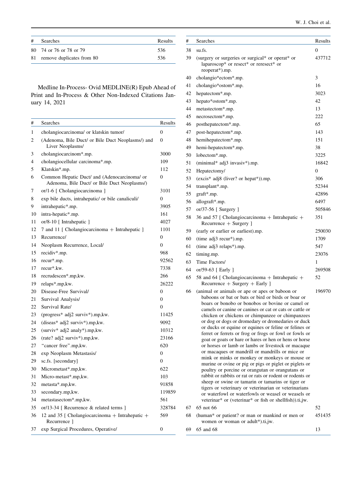| W. J. Choi et al. |  |  |  |  |  |
|-------------------|--|--|--|--|--|
|-------------------|--|--|--|--|--|

| # | Searches                     | Results |
|---|------------------------------|---------|
|   | 80 74 or 76 or 78 or 79      | 536     |
|   | 81 remove duplicates from 80 | 536     |

Medline In-Process- Ovid MEDLINE(R) Epub Ahead of Print and In-Process & Other Non-Indexed Citations January 14, 2021

| #  | Searches                                                                                     | Results          |
|----|----------------------------------------------------------------------------------------------|------------------|
| 1  | cholangiocarcinoma/ or klatskin tumor/                                                       | $\overline{0}$   |
| 2  | (Adenoma, Bile Duct/ or Bile Duct Neoplasms/) and<br>Liver Neoplasms/                        | $\Omega$         |
| 3  | cholangiocarcinom*.mp.                                                                       | 3000             |
| 4  | cholangiocellular carcinoma*.mp.                                                             | 109              |
| 5  | Klatskin*.mp.                                                                                | 112              |
| 6  | Common Hepatic Duct/ and (Adenocarcinoma/ or<br>Adenoma, Bile Duct/ or Bile Duct Neoplasms/) | 0                |
| 7  | or/1-6 [ Cholangiocarcinoma ]                                                                | 3101             |
| 8  | exp bile ducts, intrahepatic/ or bile canaliculi/                                            | $\overline{0}$   |
| 9  | intrahepatic*.mp.                                                                            | 3905             |
| 10 | intra-hepatic*.mp.                                                                           | 161              |
| 11 | or/8-10 [Intrahepatic ]                                                                      | 4027             |
| 12 | 7 and 11 [ Cholangiocarcinoma + Intrahepatic ]                                               | 1101             |
| 13 | Recurrence/                                                                                  | $\theta$         |
| 14 | Neoplasm Recurrence, Local/                                                                  | $\theta$         |
| 15 | recidiv*.mp.                                                                                 | 968              |
| 16 | recur*.mp.                                                                                   | 92562            |
| 17 | recur*.kw.                                                                                   | 7338             |
| 18 | recrudescen*.mp, kw.                                                                         | 266              |
| 19 | relaps*.mp, kw.                                                                              | 26222            |
| 20 | Disease-Free Survival/                                                                       | 0                |
| 21 | Survival Analysis/                                                                           | $\theta$         |
| 22 | Survival Rate/                                                                               | $\overline{0}$   |
| 23 | (progress* adj2 surviv*).mp, kw.                                                             | 11425            |
| 24 | (diseas* adj2 surviv*).mp,kw.                                                                | 9092             |
| 25 | (surviv* $adj2$ analy*).mp, kw.                                                              | 10312            |
| 26 | $(rate? adj2 surviv*) . mp, kw.$                                                             | 23166            |
| 27 | "cancer free".mp, kw.                                                                        | 620              |
| 28 | exp Neoplasm Metastasis/                                                                     | $\theta$         |
| 29 | sc.fs. [secondary]                                                                           | $\theta$         |
| 30 | Micrometast*.mp, kw.                                                                         | 622              |
| 31 | Micro-metast*.mp,kw.                                                                         | 103              |
| 32 | metasta*.mp, kw.                                                                             | 91858            |
| 33 | secondary.mp, kw.                                                                            | 119859           |
| 34 | metastasectom*.mp,kw.                                                                        | 561              |
| 35 | or/13-34 [ Recurrence & related terms ]                                                      | 328784           |
| 36 | 12 and 35 [ Cholangiocarcinoma $+$ Intrahepatic $+$<br>Recurrence 1                          | 569              |
| 37 | exp Surgical Procedures, Operative/                                                          | $\boldsymbol{0}$ |

| #  | Searches                                                                                                                                                                                                                                                                                                                                                                                                                                                                                                                                                                                                                                                                                                                                                                                                                                                                                                                                                                                                                                                                       | Results        |
|----|--------------------------------------------------------------------------------------------------------------------------------------------------------------------------------------------------------------------------------------------------------------------------------------------------------------------------------------------------------------------------------------------------------------------------------------------------------------------------------------------------------------------------------------------------------------------------------------------------------------------------------------------------------------------------------------------------------------------------------------------------------------------------------------------------------------------------------------------------------------------------------------------------------------------------------------------------------------------------------------------------------------------------------------------------------------------------------|----------------|
| 38 | su.fs.                                                                                                                                                                                                                                                                                                                                                                                                                                                                                                                                                                                                                                                                                                                                                                                                                                                                                                                                                                                                                                                                         | $\Omega$       |
| 39 | (surgery or surgeries or surgical* or operat* or<br>laparoscop* or resect* or reresect* or<br>reoperat*).mp.                                                                                                                                                                                                                                                                                                                                                                                                                                                                                                                                                                                                                                                                                                                                                                                                                                                                                                                                                                   | 437712         |
| 40 | cholangio*ectom*.mp.                                                                                                                                                                                                                                                                                                                                                                                                                                                                                                                                                                                                                                                                                                                                                                                                                                                                                                                                                                                                                                                           | 3              |
| 41 | cholangio*ostom*.mp.                                                                                                                                                                                                                                                                                                                                                                                                                                                                                                                                                                                                                                                                                                                                                                                                                                                                                                                                                                                                                                                           | 16             |
| 42 | hepatectom*.mp.                                                                                                                                                                                                                                                                                                                                                                                                                                                                                                                                                                                                                                                                                                                                                                                                                                                                                                                                                                                                                                                                | 3023           |
| 43 | hepato*ostom*.mp.                                                                                                                                                                                                                                                                                                                                                                                                                                                                                                                                                                                                                                                                                                                                                                                                                                                                                                                                                                                                                                                              | 42             |
| 44 | metastectom*.mp.                                                                                                                                                                                                                                                                                                                                                                                                                                                                                                                                                                                                                                                                                                                                                                                                                                                                                                                                                                                                                                                               | 13             |
| 45 | necrosectom*.mp.                                                                                                                                                                                                                                                                                                                                                                                                                                                                                                                                                                                                                                                                                                                                                                                                                                                                                                                                                                                                                                                               | 222            |
| 46 | posthepatectom*.mp.                                                                                                                                                                                                                                                                                                                                                                                                                                                                                                                                                                                                                                                                                                                                                                                                                                                                                                                                                                                                                                                            | 65             |
| 47 | post-hepatectom*.mp.                                                                                                                                                                                                                                                                                                                                                                                                                                                                                                                                                                                                                                                                                                                                                                                                                                                                                                                                                                                                                                                           | 143            |
| 48 | hemihepatectom*.mp.                                                                                                                                                                                                                                                                                                                                                                                                                                                                                                                                                                                                                                                                                                                                                                                                                                                                                                                                                                                                                                                            | 151            |
| 49 | hemi-hepatectom*.mp.                                                                                                                                                                                                                                                                                                                                                                                                                                                                                                                                                                                                                                                                                                                                                                                                                                                                                                                                                                                                                                                           | 38             |
| 50 | lobectom*.mp.                                                                                                                                                                                                                                                                                                                                                                                                                                                                                                                                                                                                                                                                                                                                                                                                                                                                                                                                                                                                                                                                  | 3225           |
| 51 | (minimal* adj3 invasiv*).mp.                                                                                                                                                                                                                                                                                                                                                                                                                                                                                                                                                                                                                                                                                                                                                                                                                                                                                                                                                                                                                                                   | 16842          |
| 52 | Hepatectomy/                                                                                                                                                                                                                                                                                                                                                                                                                                                                                                                                                                                                                                                                                                                                                                                                                                                                                                                                                                                                                                                                   | $\overline{0}$ |
| 53 | (excis* adj8 (liver? or hepat*)).mp.                                                                                                                                                                                                                                                                                                                                                                                                                                                                                                                                                                                                                                                                                                                                                                                                                                                                                                                                                                                                                                           | 306            |
| 54 | transplant*.mp.                                                                                                                                                                                                                                                                                                                                                                                                                                                                                                                                                                                                                                                                                                                                                                                                                                                                                                                                                                                                                                                                | 52344          |
| 55 | graft*.mp.                                                                                                                                                                                                                                                                                                                                                                                                                                                                                                                                                                                                                                                                                                                                                                                                                                                                                                                                                                                                                                                                     | 42896          |
| 56 | allograft*.mp.                                                                                                                                                                                                                                                                                                                                                                                                                                                                                                                                                                                                                                                                                                                                                                                                                                                                                                                                                                                                                                                                 | 6497           |
| 57 | or/37-56 [ Surgery ]                                                                                                                                                                                                                                                                                                                                                                                                                                                                                                                                                                                                                                                                                                                                                                                                                                                                                                                                                                                                                                                           | 505846         |
| 58 | 36 and 57 [ Cholangiocarcinoma + Intrahepatic +<br>Recurrence + Surgery ]                                                                                                                                                                                                                                                                                                                                                                                                                                                                                                                                                                                                                                                                                                                                                                                                                                                                                                                                                                                                      | 351            |
| 59 | (early or earlier or earliest).mp.                                                                                                                                                                                                                                                                                                                                                                                                                                                                                                                                                                                                                                                                                                                                                                                                                                                                                                                                                                                                                                             | 250030         |
| 60 | (time adj3 recur*).mp.                                                                                                                                                                                                                                                                                                                                                                                                                                                                                                                                                                                                                                                                                                                                                                                                                                                                                                                                                                                                                                                         | 1709           |
| 61 | (time adj3 relaps*).mp.                                                                                                                                                                                                                                                                                                                                                                                                                                                                                                                                                                                                                                                                                                                                                                                                                                                                                                                                                                                                                                                        | 547            |
| 62 | timing.mp.                                                                                                                                                                                                                                                                                                                                                                                                                                                                                                                                                                                                                                                                                                                                                                                                                                                                                                                                                                                                                                                                     | 23076          |
| 63 | Time Factors/                                                                                                                                                                                                                                                                                                                                                                                                                                                                                                                                                                                                                                                                                                                                                                                                                                                                                                                                                                                                                                                                  | 1              |
| 64 | or/59-63 [ Early ]                                                                                                                                                                                                                                                                                                                                                                                                                                                                                                                                                                                                                                                                                                                                                                                                                                                                                                                                                                                                                                                             | 269508         |
| 65 | 58 and 64 [ Cholangiocarcinoma + Intrahepatic +<br>$Recurrence + Surgery + Early$ ]                                                                                                                                                                                                                                                                                                                                                                                                                                                                                                                                                                                                                                                                                                                                                                                                                                                                                                                                                                                            | 52             |
| 66 | (animal or animals or ape or apes or baboon or<br>baboons or bat or bats or bird or birds or boar or<br>boars or bonobo or bonobos or bovine or camel or<br>camels or canine or canines or cat or cats or cattle or<br>chicken or chickens or chimpanzee or chimpanzees<br>or dog or dogs or dromedary or dromedaries or duck<br>or ducks or equine or equines or feline or felines or<br>ferret or ferrets or frog or frogs or fowl or fowls or<br>goat or goats or hare or hares or hen or hens or horse<br>or horses or lamb or lambs or livestock or macaque<br>or macaques or mandrill or mandrills or mice or<br>mink or minks or monkey or monkeys or mouse or<br>murine or ovine or pig or pigs or piglet or piglets or<br>poultry or porcine or orangutan or orangutans or<br>rabbit or rabbits or rat or rats or rodent or rodents or<br>sheep or swine or tamarin or tamarins or tiger or<br>tigers or veterinary or veterinarian or veterinarians<br>or waterfowl or waterfowls or weasel or weasels or<br>veterinar* or (veterinar* or fish or shellfish)).ti,jw. | 196970         |
| 67 | 65 not 66                                                                                                                                                                                                                                                                                                                                                                                                                                                                                                                                                                                                                                                                                                                                                                                                                                                                                                                                                                                                                                                                      | 52             |
| 68 | (human* or patient? or man or mankind or men or<br>women or woman or adult*).ti,jw.                                                                                                                                                                                                                                                                                                                                                                                                                                                                                                                                                                                                                                                                                                                                                                                                                                                                                                                                                                                            | 451435         |
| 69 | 65 and 68                                                                                                                                                                                                                                                                                                                                                                                                                                                                                                                                                                                                                                                                                                                                                                                                                                                                                                                                                                                                                                                                      | 13             |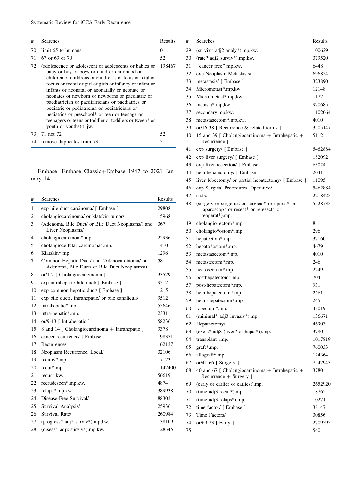| #  | <b>Searches</b>                                                                                                                                                                                                                                                                                                                                                                                                                                                                                                                                                                      | Results |
|----|--------------------------------------------------------------------------------------------------------------------------------------------------------------------------------------------------------------------------------------------------------------------------------------------------------------------------------------------------------------------------------------------------------------------------------------------------------------------------------------------------------------------------------------------------------------------------------------|---------|
| 70 | limit 65 to humans                                                                                                                                                                                                                                                                                                                                                                                                                                                                                                                                                                   | 0       |
| 71 | 67 or 69 or 70                                                                                                                                                                                                                                                                                                                                                                                                                                                                                                                                                                       | 52      |
| 72 | (adolescence or adolescent or adolescents or babies or<br>baby or boy or boys or child or childhood or<br>children or childrens or children's or fetus or fetal or<br>foetus or foetal or girl or girls or infancy or infant or<br>infants or neonatal or neonatally or neonate or<br>neonates or newborn or newborns or paediatric or<br>paediatrician or paediatricians or paediatrics or<br>pediatric or pediatrician or pediatricians or<br>pediatrics or preschool* or teen or teenage or<br>teenagers or teens or toddler or toddlers or tween* or<br>youth or youths).ti, jw. | 198467  |
| 73 | 71 not 72                                                                                                                                                                                                                                                                                                                                                                                                                                                                                                                                                                            | 52      |
| 74 | remove duplicates from 73                                                                                                                                                                                                                                                                                                                                                                                                                                                                                                                                                            | 51      |

Embase- Embase Classic+Embase 1947 to 2021 January 14

| #   | Searches                                                                                     | Results |
|-----|----------------------------------------------------------------------------------------------|---------|
| 1   | exp bile duct carcinoma/ [ Embase ]                                                          | 29808   |
| 2   | cholangiocarcinoma/ or klatskin tumor/                                                       | 15968   |
| 3   | (Adenoma, Bile Duct/ or Bile Duct Neoplasms/) and<br>Liver Neoplasms/                        | 367     |
| 4   | cholangiocarcinom*.mp.                                                                       | 22936   |
| 5   | cholangiocellular carcinoma*.mp.                                                             | 1410    |
| 6   | Klatskin*.mp.                                                                                | 1296    |
| 7   | Common Hepatic Duct/ and (Adenocarcinoma/ or<br>Adenoma, Bile Duct/ or Bile Duct Neoplasms/) | 58      |
| 8   | or/1-7 [ Cholangiocarcinoma ]                                                                | 33529   |
| 9   | exp intrahepatic bile duct/ [ Embase ]                                                       | 9512    |
| 10  | exp common hepatic duct/ [ Embase ]                                                          | 1215    |
| 11  | exp bile ducts, intrahepatic/ or bile canaliculi/                                            | 9512    |
| 12  | intrahepatic*.mp.                                                                            | 55646   |
| 13  | intra-hepatic*.mp.                                                                           | 2331    |
| 14  | or/9-13 [ Intrahepatic ]                                                                     | 58236   |
| 15  | 8 and 14 [ Cholangiocarcinoma + Intrahepatic ]                                               | 9378    |
| 16  | cancer recurrence/ [ Embase ]                                                                | 198371  |
| 17  | Recurrence/                                                                                  | 162127  |
| 18  | Neoplasm Recurrence, Local/                                                                  | 32106   |
| 19  | recidiv*.mp.                                                                                 | 17123   |
| 20  | recur*.mp.                                                                                   | 1142400 |
| 21  | recur*.kw.                                                                                   | 56619   |
| 22. | recrudescen*.mp,kw.                                                                          | 4874    |
| 23  | relaps*.mp, kw.                                                                              | 389938  |
| 24  | Disease-Free Survival/                                                                       | 88302   |
| 25  | Survival Analysis/                                                                           | 25936   |
| 26  | Survival Rate/                                                                               | 260984  |
| 27  | (progress* $\text{adj2}$ surviv*).mp, kw.                                                    | 138109  |
| 28  | (diseas* adj2 surviv*).mp,kw.                                                                | 128345  |

| #  | Searches                                                                                                     | Results |
|----|--------------------------------------------------------------------------------------------------------------|---------|
| 29 | (surviv* adj2 analy*).mp,kw.                                                                                 | 100629  |
| 30 | (rate? adj2 surviv*).mp,kw.                                                                                  | 379520  |
| 31 | "cancer free".mp,kw.                                                                                         | 6448    |
| 32 | exp Neoplasm Metastasis/                                                                                     | 696854  |
| 33 | metastasis/ [ Embase ]                                                                                       | 323890  |
| 34 | Micrometast*.mp,kw.                                                                                          | 12148   |
| 35 | Micro-metast*.mp,kw.                                                                                         | 1172    |
| 36 | metasta*.mp,kw.                                                                                              | 970685  |
| 37 | secondary.mp, kw.                                                                                            | 1102064 |
| 38 | metastasectom*.mp,kw.                                                                                        | 4010    |
| 39 | or/16-38 [ Recurrence & related terms ]                                                                      | 3505147 |
| 40 | 15 and 39 [ Cholangiocarcinoma + Intrahepatic +<br>Recurrence 1                                              | 5112    |
| 41 | exp surgery/ [ Embase ]                                                                                      | 5462884 |
| 42 | exp liver surgery/ [ Embase ]                                                                                | 182092  |
| 43 | exp liver resection/ [ Embase ]                                                                              | 63024   |
| 44 | hemihepatectomy/ [ Embase ]                                                                                  | 2041    |
| 45 | liver lobectomy/ or partial hepatectomy/ [ Embase ]                                                          | 11095   |
| 46 | exp Surgical Procedures, Operative/                                                                          | 5462884 |
| 47 | su.fs.                                                                                                       | 2218425 |
| 48 | (surgery or surgeries or surgical* or operat* or<br>laparoscop* or resect* or reresect* or<br>reoperat*).mp. | 5528735 |
| 49 | cholangio*ectom*.mp.                                                                                         | 8       |
| 50 | cholangio*ostom*.mp.                                                                                         | 296     |
| 51 | hepatectom*.mp.                                                                                              | 37160   |
| 52 | hepato*ostom*.mp.                                                                                            | 4679    |
| 53 | metastasectom*.mp.                                                                                           | 4010    |
| 54 | metastectom*.mp.                                                                                             | 246     |
| 55 | necrosectom*.mp.                                                                                             | 2249    |
| 56 | posthepatectom*.mp.                                                                                          | 704     |
| 57 | post-hepatectom*.mp.                                                                                         | 931     |
| 58 | hemihepatectom*.mp.                                                                                          | 2561    |
| 59 | hemi-hepatectom*.mp.                                                                                         | 245     |
| 60 | lobectom*.mp.                                                                                                | 48019   |
| 61 | (minimal* adj3 invasiv*).mp.                                                                                 | 136671  |
| 62 | Hepatectomy/                                                                                                 | 46903   |
| 63 | (excis* adj8 (liver? or hepat*)).mp.                                                                         | 3790    |
| 64 | transplant*.mp.                                                                                              | 1017819 |
| 65 | graft*.mp.                                                                                                   | 760033  |
| 66 | allograft*.mp.                                                                                               | 124364  |
| 67 | or/41-66 [ Surgery ]                                                                                         | 7542943 |
| 68 | 40 and 67 [ Cholangiocarcinoma $+$ Intrahepatic $+$<br>Recurrence + Surgery ]                                | 3780    |
| 69 | (early or earlier or earliest).mp.                                                                           | 2652920 |
| 70 | (time adj3 recur*).mp.                                                                                       | 18762   |
| 71 | (time adj3 relaps*).mp.                                                                                      | 10271   |
| 72 | time factor/ [ Embase ]                                                                                      | 38147   |
| 73 | Time Factors/                                                                                                | 30856   |
| 74 | or/69-73 [ Early ]                                                                                           | 2709595 |
| 75 |                                                                                                              | 540     |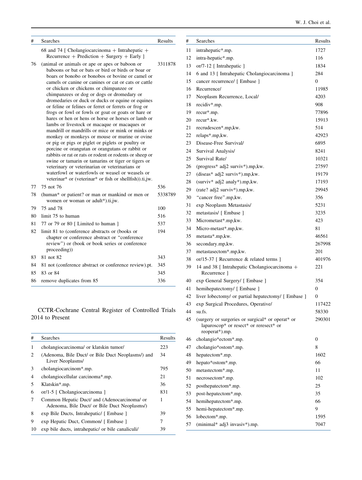| #  | Searches                                                                                                                                                                                                                                                                                                                                                                                                                                                                                                                                                                                                                                                                                                                                                                                                                                                                                                                                                                                                                                                                          | Results |
|----|-----------------------------------------------------------------------------------------------------------------------------------------------------------------------------------------------------------------------------------------------------------------------------------------------------------------------------------------------------------------------------------------------------------------------------------------------------------------------------------------------------------------------------------------------------------------------------------------------------------------------------------------------------------------------------------------------------------------------------------------------------------------------------------------------------------------------------------------------------------------------------------------------------------------------------------------------------------------------------------------------------------------------------------------------------------------------------------|---------|
|    | 68 and 74 [ Cholangiocarcinoma $+$ Intrahepatic $+$<br>$Recurrence + Prediction + Surgery + Early)$                                                                                                                                                                                                                                                                                                                                                                                                                                                                                                                                                                                                                                                                                                                                                                                                                                                                                                                                                                               |         |
| 76 | (animal or animals or ape or apes or baboon or<br>baboons or bat or bats or bird or birds or boar or<br>boars or bonobo or bonobos or bovine or camel or<br>camels or canine or canines or cat or cats or cattle<br>or chicken or chickens or chimpanzee or<br>chimpanzees or dog or dogs or dromedary or<br>dromedaries or duck or ducks or equine or equines<br>or feline or felines or ferret or ferrets or frog or<br>frogs or fowl or fowls or goat or goats or hare or<br>hares or hen or hens or horse or horses or lamb or<br>lambs or livestock or macaque or macaques or<br>mandrill or mandrills or mice or mink or minks or<br>monkey or monkeys or mouse or murine or ovine<br>or pig or pigs or piglet or piglets or poultry or<br>porcine or orangutan or orangutans or rabbit or<br>rabbits or rat or rats or rodent or rodents or sheep or<br>swine or tamarin or tamarins or tiger or tigers or<br>veterinary or veterinarian or veterinarians or<br>waterfowl or waterfowls or weasel or weasels or<br>veterinar* or (veterinar* or fish or shellfish)).ti,jw. | 3311878 |
| 77 | 75 not 76                                                                                                                                                                                                                                                                                                                                                                                                                                                                                                                                                                                                                                                                                                                                                                                                                                                                                                                                                                                                                                                                         | 536     |
| 78 | (human* or patient? or man or mankind or men or<br>women or woman or adult*).ti,jw.                                                                                                                                                                                                                                                                                                                                                                                                                                                                                                                                                                                                                                                                                                                                                                                                                                                                                                                                                                                               | 5338789 |
| 79 | 75 and 78                                                                                                                                                                                                                                                                                                                                                                                                                                                                                                                                                                                                                                                                                                                                                                                                                                                                                                                                                                                                                                                                         | 100     |
| 80 | limit 75 to human                                                                                                                                                                                                                                                                                                                                                                                                                                                                                                                                                                                                                                                                                                                                                                                                                                                                                                                                                                                                                                                                 | 516     |
| 81 | 77 or 79 or 80 [ Limited to human ]                                                                                                                                                                                                                                                                                                                                                                                                                                                                                                                                                                                                                                                                                                                                                                                                                                                                                                                                                                                                                                               | 537     |
| 82 | limit 81 to (conference abstracts or (books or<br>chapter or conference abstract or "conference<br>review") or (book or book series or conference<br>proceeding))                                                                                                                                                                                                                                                                                                                                                                                                                                                                                                                                                                                                                                                                                                                                                                                                                                                                                                                 | 194     |
| 83 | 81 not 82                                                                                                                                                                                                                                                                                                                                                                                                                                                                                                                                                                                                                                                                                                                                                                                                                                                                                                                                                                                                                                                                         | 343     |
| 84 | 81 not (conference abstract or conference review).pt.                                                                                                                                                                                                                                                                                                                                                                                                                                                                                                                                                                                                                                                                                                                                                                                                                                                                                                                                                                                                                             | 345     |
| 85 | 83 or 84                                                                                                                                                                                                                                                                                                                                                                                                                                                                                                                                                                                                                                                                                                                                                                                                                                                                                                                                                                                                                                                                          | 345     |
| 86 | remove duplicates from 85                                                                                                                                                                                                                                                                                                                                                                                                                                                                                                                                                                                                                                                                                                                                                                                                                                                                                                                                                                                                                                                         | 336     |

CCTR-Cochrane Central Register of Controlled Trials 2014 to Present

| #  | <b>Searches</b>                                                                              | Results |
|----|----------------------------------------------------------------------------------------------|---------|
| 1  | cholangiocarcinoma/ or klatskin tumor/                                                       | 223     |
| 2  | (Adenoma, Bile Duct/ or Bile Duct Neoplasms/) and<br>Liver Neoplasms/                        | 34      |
| 3  | cholangiocarcinom*.mp.                                                                       | 795     |
| 4  | cholangiocellular carcinoma*.mp.                                                             | 21      |
| 5  | Klatskin <sup>*</sup> .mp.                                                                   | 36      |
| 6  | or/1-5 [ Cholangiocarcinoma ]                                                                | 831     |
| 7  | Common Hepatic Duct/ and (Adenocarcinoma/ or<br>Adenoma, Bile Duct/ or Bile Duct Neoplasms/) | 1       |
| 8  | exp Bile Ducts, Intrahepatic/ [ Embase ]                                                     | 39      |
| 9  | exp Hepatic Duct, Common/ [ Embase ]                                                         | 7       |
| 10 | exp bile ducts, intrahepatic/ or bile canaliculi/                                            | 39      |

| #  | Searches                                                                                                     | Results        |
|----|--------------------------------------------------------------------------------------------------------------|----------------|
| 11 | intrahepatic*.mp.                                                                                            | 1727           |
| 12 | intra-hepatic*.mp.                                                                                           | 116            |
| 13 | or/7-12 [ Intrahepatic ]                                                                                     | 1834           |
| 14 | 6 and 13 [ Intrahepatic Cholangiocarcinoma ]                                                                 | 284            |
| 15 | cancer recurrence/ [ Embase ]                                                                                | $\overline{0}$ |
| 16 | Recurrence/                                                                                                  | 11985          |
| 17 | Neoplasm Recurrence, Local/                                                                                  | 4203           |
| 18 | recidiv*.mp.                                                                                                 | 908            |
| 19 | recur*.mp.                                                                                                   | 77896          |
| 20 | recur*.kw.                                                                                                   | 15913          |
| 21 | recrudescen*.mp,kw.                                                                                          | 514            |
| 22 | relaps*.mp, kw.                                                                                              | 42923          |
| 23 | Disease-Free Survival/                                                                                       | 6895           |
| 24 | Survival Analysis/                                                                                           | 8241           |
| 25 | Survival Rate/                                                                                               | 10321          |
| 26 | (progress* adj2 surviv*).mp,kw.                                                                              | 27597          |
| 27 | (diseas* adj2 surviv*).mp,kw.                                                                                | 19179          |
| 28 | (surviv* adj2 analy*).mp,kw.                                                                                 | 17193          |
| 29 | (rate? adj2 surviv*).mp,kw.                                                                                  | 29945          |
| 30 | "cancer free".mp,kw.                                                                                         | 356            |
| 31 | exp Neoplasm Metastasis/                                                                                     | 5231           |
| 32 | metastasis/ [ Embase ]                                                                                       | 3235           |
| 33 | Micrometast*.mp,kw.                                                                                          | 423            |
| 34 | Micro-metast*.mp, kw.                                                                                        | 81             |
| 35 | metasta*.mp,kw.                                                                                              | 46561          |
| 36 | secondary.mp, kw.                                                                                            | 267998         |
| 37 | metastasectom*.mp,kw.                                                                                        | 201            |
| 38 | or/15-37 [ Recurrence & related terms ]                                                                      | 401976         |
| 39 | 14 and 38 [ Intrahepatic Cholangiocarcinoma +<br>Recurrence 1                                                | 221            |
| 40 | exp General Surgery/ [ Embase ]                                                                              | 354            |
| 41 | hemihepatectomy/ [ Embase ]                                                                                  | $\overline{0}$ |
| 42 | liver lobectomy/ or partial hepatectomy/ [ Embase ]                                                          | $\overline{0}$ |
| 43 | exp Surgical Procedures, Operative/                                                                          | 117422         |
| 44 | su.fs.                                                                                                       | 58330          |
| 45 | (surgery or surgeries or surgical* or operat* or<br>laparoscop* or resect* or reresect* or<br>reoperat*).mp. | 290301         |
| 46 | cholangio*ectom*.mp.                                                                                         | 0              |
| 47 | cholangio*ostom*.mp.                                                                                         | 8              |
| 48 | hepatectom*.mp.                                                                                              | 1602           |
| 49 | hepato*ostom*.mp.                                                                                            | 66             |
| 50 | metastectom*.mp.                                                                                             | 11             |
| 51 | necrosectom*.mp.                                                                                             | 102            |
| 52 | posthepatectom*.mp.                                                                                          | 25             |
| 53 | post-hepatectom*.mp.                                                                                         | 35             |
| 54 | hemihepatectom*.mp.                                                                                          | 66             |
| 55 | hemi-hepatectom*.mp.                                                                                         | 9              |
| 56 | lobectom*.mp.                                                                                                | 1595           |
| 57 | (minimal* adj3 invasiv*).mp.                                                                                 | 7047           |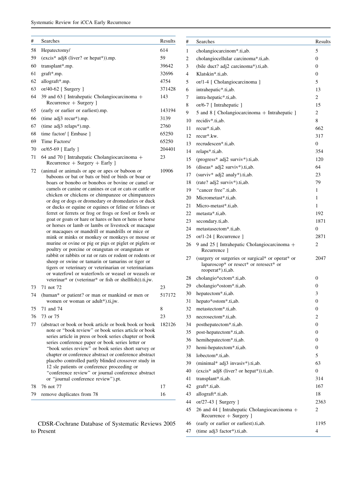| #  | Searches                                                                                                                                                                                                                                                                                                                                                                                                                                                                                                                                                                                                                                                                                                                                                                                                                                                                                                                                                                                                                                                                       | Results |
|----|--------------------------------------------------------------------------------------------------------------------------------------------------------------------------------------------------------------------------------------------------------------------------------------------------------------------------------------------------------------------------------------------------------------------------------------------------------------------------------------------------------------------------------------------------------------------------------------------------------------------------------------------------------------------------------------------------------------------------------------------------------------------------------------------------------------------------------------------------------------------------------------------------------------------------------------------------------------------------------------------------------------------------------------------------------------------------------|---------|
| 58 | Hepatectomy/                                                                                                                                                                                                                                                                                                                                                                                                                                                                                                                                                                                                                                                                                                                                                                                                                                                                                                                                                                                                                                                                   | 614     |
| 59 | (excis* adj8 (liver? or hepat*)).mp.                                                                                                                                                                                                                                                                                                                                                                                                                                                                                                                                                                                                                                                                                                                                                                                                                                                                                                                                                                                                                                           | 59      |
| 60 | transplant*.mp.                                                                                                                                                                                                                                                                                                                                                                                                                                                                                                                                                                                                                                                                                                                                                                                                                                                                                                                                                                                                                                                                | 39642   |
| 61 | graft*.mp.                                                                                                                                                                                                                                                                                                                                                                                                                                                                                                                                                                                                                                                                                                                                                                                                                                                                                                                                                                                                                                                                     | 32696   |
| 62 | allograft*.mp.                                                                                                                                                                                                                                                                                                                                                                                                                                                                                                                                                                                                                                                                                                                                                                                                                                                                                                                                                                                                                                                                 | 4754    |
| 63 | or/40-62 [ Surgery ]                                                                                                                                                                                                                                                                                                                                                                                                                                                                                                                                                                                                                                                                                                                                                                                                                                                                                                                                                                                                                                                           | 371428  |
| 64 | 39 and 63 [ Intrahepatic Cholangiocarcinoma +<br>Recurrence + Surgery ]                                                                                                                                                                                                                                                                                                                                                                                                                                                                                                                                                                                                                                                                                                                                                                                                                                                                                                                                                                                                        | 143     |
| 65 | (early or earlier or earliest).mp.                                                                                                                                                                                                                                                                                                                                                                                                                                                                                                                                                                                                                                                                                                                                                                                                                                                                                                                                                                                                                                             | 143194  |
| 66 | (time adj3 recur*).mp.                                                                                                                                                                                                                                                                                                                                                                                                                                                                                                                                                                                                                                                                                                                                                                                                                                                                                                                                                                                                                                                         | 3139    |
| 67 | (time adj3 relaps*).mp.                                                                                                                                                                                                                                                                                                                                                                                                                                                                                                                                                                                                                                                                                                                                                                                                                                                                                                                                                                                                                                                        | 2760    |
| 68 | time factor/ [ Embase ]                                                                                                                                                                                                                                                                                                                                                                                                                                                                                                                                                                                                                                                                                                                                                                                                                                                                                                                                                                                                                                                        | 65250   |
| 69 | Time Factors/                                                                                                                                                                                                                                                                                                                                                                                                                                                                                                                                                                                                                                                                                                                                                                                                                                                                                                                                                                                                                                                                  | 65250   |
| 70 | or/65-69 [ Early ]                                                                                                                                                                                                                                                                                                                                                                                                                                                                                                                                                                                                                                                                                                                                                                                                                                                                                                                                                                                                                                                             | 204401  |
| 71 | 64 and 70 [ Intrahepatic Cholangiocarcinoma +<br>Recurrence $+$ Surgery $+$ Early ]                                                                                                                                                                                                                                                                                                                                                                                                                                                                                                                                                                                                                                                                                                                                                                                                                                                                                                                                                                                            | 23      |
| 72 | (animal or animals or ape or apes or baboon or<br>baboons or bat or bats or bird or birds or boar or<br>boars or bonobo or bonobos or bovine or camel or<br>camels or canine or canines or cat or cats or cattle or<br>chicken or chickens or chimpanzee or chimpanzees<br>or dog or dogs or dromedary or dromedaries or duck<br>or ducks or equine or equines or feline or felines or<br>ferret or ferrets or frog or frogs or fowl or fowls or<br>goat or goats or hare or hares or hen or hens or horse<br>or horses or lamb or lambs or livestock or macaque<br>or macaques or mandrill or mandrills or mice or<br>mink or minks or monkey or monkeys or mouse or<br>murine or ovine or pig or pigs or piglet or piglets or<br>poultry or porcine or orangutan or orangutans or<br>rabbit or rabbits or rat or rats or rodent or rodents or<br>sheep or swine or tamarin or tamarins or tiger or<br>tigers or veterinary or veterinarian or veterinarians<br>or waterfowl or waterfowls or weasel or weasels or<br>veterinar* or (veterinar* or fish or shellfish)).ti,jw. | 10906   |
| 73 | 71 not 72                                                                                                                                                                                                                                                                                                                                                                                                                                                                                                                                                                                                                                                                                                                                                                                                                                                                                                                                                                                                                                                                      | 23      |
| 74 | (human* or patient? or man or mankind or men or<br>women or woman or adult*).ti,jw.                                                                                                                                                                                                                                                                                                                                                                                                                                                                                                                                                                                                                                                                                                                                                                                                                                                                                                                                                                                            | 517172  |
| 75 | 71 and 74                                                                                                                                                                                                                                                                                                                                                                                                                                                                                                                                                                                                                                                                                                                                                                                                                                                                                                                                                                                                                                                                      | 8       |
| 76 | 73 or 75                                                                                                                                                                                                                                                                                                                                                                                                                                                                                                                                                                                                                                                                                                                                                                                                                                                                                                                                                                                                                                                                       | 23      |
| 77 | (abstract or book or book article or book book or book<br>note or "book review" or book series article or book<br>series article in press or book series chapter or book<br>series conference paper or book series letter or<br>"book series review" or book series short survey or<br>chapter or conference abstract or conference abstract<br>placebo controlled partly blinded crossover study in<br>12 sle patients or conference proceeding or<br>"conference review" or journal conference abstract<br>or "journal conference review").pt.                                                                                                                                                                                                                                                                                                                                                                                                                                                                                                                               | 182126  |
| 78 | 76 not 77                                                                                                                                                                                                                                                                                                                                                                                                                                                                                                                                                                                                                                                                                                                                                                                                                                                                                                                                                                                                                                                                      | 17      |
| 79 | remove duplicates from 78                                                                                                                                                                                                                                                                                                                                                                                                                                                                                                                                                                                                                                                                                                                                                                                                                                                                                                                                                                                                                                                      | 16      |

CDSR-Cochrane Database of Systematic Reviews 2005 to Present

| #  | Searches                                                                                                        | Results        |
|----|-----------------------------------------------------------------------------------------------------------------|----------------|
| 1  | cholangiocarcinom*.ti,ab.                                                                                       | 5              |
| 2  | cholangiocellular carcinoma*.ti,ab.                                                                             | $\mathbf{0}$   |
| 3  | (bile duct? adj2 carcinoma*).ti,ab.                                                                             | $\mathbf{0}$   |
| 4  | Klatskin*.ti,ab.                                                                                                | $\mathbf{0}$   |
| 5  | or/1-4 [ Cholangiocarcinoma ]                                                                                   | 5              |
| 6  | intrahepatic*.ti,ab.                                                                                            | 13             |
| 7  | intra-hepatic*.ti,ab.                                                                                           | 2              |
| 8  | or/6-7 [ Intrahepatic ]                                                                                         | 15             |
| 9  | 5 and 8 [ Cholangiocarcinoma + Intrahepatic ]                                                                   | 2              |
| 10 | recidiv*.ti.ab.                                                                                                 | 8              |
| 11 | recur*.ti,ab.                                                                                                   | 662            |
| 12 | recur*.kw.                                                                                                      | 317            |
| 13 | recrudescen*.ti,ab.                                                                                             | $\overline{0}$ |
| 14 | relaps*.ti,ab.                                                                                                  | 354            |
| 15 | (progress* adj2 surviv*).ti,ab.                                                                                 | 120            |
| 16 | (diseas* adj2 surviv*).ti,ab.                                                                                   | 64             |
| 17 | (surviv* adj2 analy*).ti,ab.                                                                                    | 23             |
| 18 | (rate? adj2 surviv*).ti,ab.                                                                                     | 79             |
| 19 | "cancer free".ti,ab.                                                                                            | 1              |
| 20 | Micrometast*.ti,ab.                                                                                             | 1              |
| 21 | Micro-metast*.ti.ab.                                                                                            | 1              |
| 22 | metasta*.ti.ab.                                                                                                 | 192            |
| 23 | secondary.ti,ab.                                                                                                | 1871           |
| 24 | metastasectom*.ti,ab.                                                                                           | 0              |
| 25 | or/1-24 [ Recurrence ]                                                                                          | 2871           |
| 26 | 9 and 25 [ Intrahepatic Cholangiocarcinoma +<br>Recurrence 1                                                    | 2              |
| 27 | (surgery or surgeries or surgical* or operat* or<br>laparoscop* or resect* or reresect* or<br>reoperat*).ti,ab. | 2047           |
| 28 | cholangio*ectom*.ti,ab.                                                                                         | 0              |
| 29 | cholangio*ostom*.ti,ab.                                                                                         | $\mathbf{0}$   |
| 30 | hepatectom*.ti,ab.                                                                                              | 3              |
| 31 | hepato*ostom*.ti,ab.                                                                                            | $\mathbf{0}$   |
| 32 | metastectom*.ti,ab.                                                                                             | 0              |
| 33 | necrosectom*.ti,ab.                                                                                             | 2              |
| 34 | posthepatectom*.ti,ab.                                                                                          | $\mathbf{0}$   |
| 35 | post-hepatectom*.ti,ab.                                                                                         | $\mathbf{0}$   |
| 36 | hemihepatectom*.ti,ab.                                                                                          | $\mathbf{0}$   |
| 37 | hemi-hepatectom*.ti,ab.                                                                                         | $\mathbf{0}$   |
| 38 | lobectom*.ti,ab.                                                                                                | 5              |
| 39 | (minimal* adj3 invasiv*).ti,ab.                                                                                 | 63             |
| 40 | (excis* adj8 (liver? or hepat*)).ti,ab.                                                                         | $\overline{0}$ |
| 41 | transplant*.ti,ab.                                                                                              | 314            |
| 42 | graft*.ti,ab.                                                                                                   | 167            |
| 43 | allograft*.ti,ab.                                                                                               | 18             |
| 44 | or/27-43 [ Surgery ]                                                                                            | 2363           |
| 45 | 26 and 44 [ Intrahepatic Cholangiocarcinoma +<br>Recurrence + Surgery ]                                         | 2              |
| 46 | (early or earlier or earliest).ti,ab.                                                                           | 1195           |
| 47 | (time adj3 factor*).ti,ab.                                                                                      | 4              |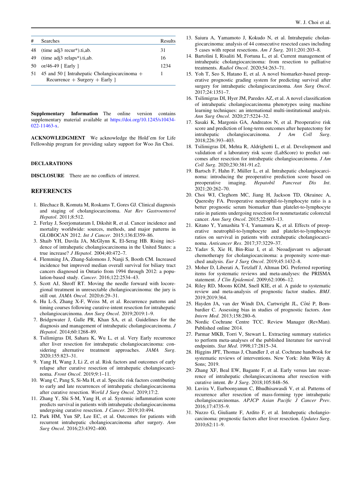<span id="page-17-0"></span>

| #  | <b>Searches</b>                                                                   | Results |
|----|-----------------------------------------------------------------------------------|---------|
| 48 | $time adj3$ recur <sup>*</sup> ).ti,ab.                                           | 31      |
| 49 | $time adj3 relaps*.ti,ab.$                                                        | 16      |
| 50 | or/46-49 [ Early ]                                                                | 1234    |
| 51 | 45 and 50 [ Intrahepatic Cholangiocarcinoma $+$<br>$Recurrence + Surgery + Early$ |         |

Supplementary Information The online version contains supplementary material available at [https://doi.org/10.1245/s10434-](https://doi.org/10.1245/s10434-022-11463-x) [022-11463-x.](https://doi.org/10.1245/s10434-022-11463-x)

ACKNOWLEDGMENT We acknowledge the Hold'em for Life Fellowship program for providing salary support for Woo Jin Choi.

#### DECLARATIONS

DISCLOSURE There are no conflicts of interest.

#### **REFERENCES**

- 1. Blechacz B, Komuta M, Roskams T, Gores GJ. Clinical diagnosis and staging of cholangiocarcinoma. Nat Rev Gastroenterol Hepatol. 2011;8:512.
- 2. Ferlay J, Soerjomataram I, Dikshit R, et al. Cancer incidence and mortality worldwide: sources, methods, and major patterns in GLOBOCAN 2012. Int J Cancer. 2015;136:E359–86.
- 3. Shaib YH, Davila JA, McGlynn K, El-Serag HB. Rising incidence of intrahepatic cholangiocarcinoma in the United States: a true increase? J Hepatol. 2004;40:472–7.
- 4. Flemming JA, Zhang-Salomons J, Nanji S, Booth CM. Increased incidence but improved median overall survival for biliary tract cancers diagnosed in Ontario from 1994 through 2012: a population-based study. Cancer. 2016;122:2534–43.
- 5. Scott AJ, Shroff RT. Moving the needle forward with locoregional treatment in unresectable cholangiocarcinoma: the jury is still out. JAMA Oncol. 2020;6:29–31.
- 6. Hu L-S, Zhang X-F, Weiss M, et al. Recurrence patterns and timing courses following curative-intent resection for intrahepatic cholangiocarcinoma. Ann Surg Oncol. 2019;2019:1–9.
- 7. Bridgewater J, Galle PR, Khan SA, et al. Guidelines for the diagnosis and management of intrahepatic cholangiocarcinoma. J Hepatol. 2014;60:1268–89.
- 8. Tsilimigras DI, Sahara K, Wu L, et al. Very Early recurrence after liver resection for intrahepatic cholangiocarcinoma: considering alternative treatment approaches. JAMA Surg. 2020;155:823–31.
- 9. Yang H, Wang J, Li Z, et al. Risk factors and outcomes of early relapse after curative resection of intrahepatic cholangiocarcinoma. Front Oncol. 2019;9:1–11.
- 10. Wang C, Pang S, Si-Ma H, et al. Specific risk factors contributing to early and late recurrences of intrahepatic cholangiocarcinoma after curative resection. World J Surg Oncol. 2019;17:2.
- 11. Zhang Y, Shi S-M, Yang H, et al. Systemic inflammation score predicts survival in patients with intrahepatic cholangiocarcinoma undergoing curative resection. J Cancer. 2019;10:494.
- 12. Park HM, Yun SP, Lee EC, et al. Outcomes for patients with recurrent intrahepatic cholangiocarcinoma after surgery. Ann Surg Oncol. 2016;23:4392–400.
- 13. Saiura A, Yamamoto J, Kokudo N, et al. Intrahepatic cholangiocarcinoma: analysis of 44 consecutive resected cases including 5 cases with repeat resections. Am J Surg. 2011;201:203–8.
- 14. Bartolini I, Risaliti M, Fortuna L, et al. Current management of intrahepatic cholangiocarcinoma: from resection to palliative treatments. Radiol Oncol. 2020;54:263–71.
- 15. Yoh T, Seo S, Hatano E, et al. A novel biomarker-based preoperative prognostic grading system for predicting survival after surgery for intrahepatic cholangiocarcinoma. Ann Surg Oncol. 2017;24:1351–7.
- 16. Tsilimigras DI, Hyer JM, Paredes AZ, et al. A novel classification of intrahepatic cholangiocarcinoma phenotypes using machine learning techniques: an international multi-institutional analysis. Ann Surg Oncol. 2020;27:5224–32.
- 17. Sasaki K, Margonis GA, Andreatos N, et al. Preoperative risk score and prediction of long-term outcomes after hepatectomy for intrahepatic cholangiocarcinoma. J Am Coll Surg. 2018;226:393–403.
- 18. Tsilimigras DI, Mehta R, Aldrighetti L, et al. Development and validation of a laboratory risk score (LabScore) to predict outcomes after resection for intrahepatic cholangiocarcinoma. J Am Coll Surg. 2020;230:381-91.e2.
- 19. Bartsch F, Hahn F, Müller L, et al. Intrahepatic cholangiocarcinoma: introducing the preoperative prediction score based on preoperative imaging. Hepatobil Pancreat Dis Int. 2021;20:262–70.
- 20. Choi WJ, Cleghorn MC, Jiang H, Jackson TD, Okrainec A, Quereshy FA. Preoperative neutrophil-to-lymphocyte ratio is a better prognostic serum biomarker than platelet-to-lymphocyte ratio in patients undergoing resection for nonmetastatic colorectal cancer. Ann Surg Oncol. 2015;22:603–13.
- 21. Kitano Y, Yamashita Y-I, Yamamura K, et al. Effects of preoperative neutrophil-to-lymphocyte and platelet-to-lymphocyte ratios on survival in patients with extrahepatic cholangiocarcinoma. Anticancer Res. 2017;37:3229–37.
- 22. Yadav S, Xie H, Bin-Riaz I, et al. Neoadjuvant vs adjuvant chemotherapy for cholangiocarcinoma: a propensity score-matched analysis. Eur J Surg Oncol. 2019;45:1432-8.
- 23. Moher D, Liberati A, Tetzlaff J, Altman DG. Preferred reporting items for systematic reviews and meta-analyses: the PRISMA statement. J Clin Epidemiol. 2009;62:1006–12.
- 24. Riley RD, Moons KGM, Snell KIE, et al. A guide to systematic review and meta-analysis of prognostic factor studies. BMJ. 2019;2019:364.
- 25. Hayden JA, van der Windt DA, Cartwright JL, Côté P, Bombardier C. Assessing bias in studies of prognostic factors. Ann Intern Med. 2013;158:280–6.
- 26. Nordic Cochrane Centre TCC. Review Manager (RevMan). Published online 2014.
- 27. Parmar MKB, Torri V, Stewart L. Extracting summary statistics to perform meta-analyses of the published literature for survival endpoints. Stat Med. 1998;17:2815–34.
- 28. Higgins JPT, Thomas J, Chandler J, et al. Cochrane handbook for systematic reviews of interventions. New York: John Wiley & Sons; 2019.
- 29. Zhang XF, Beal EW, Bagante F, et al. Early versus late recurrence of intrahepatic cholangiocarcinoma after resection with curative intent. Br J Surg. 2018;105:848–56.
- 30. Luvira V, Eurboonyanun C, Bhudhisawasdi V, et al. Patterns of recurrence after resection of mass-forming type intrahepatic cholangiocarcinomas. APJCP Asian Pacific J Cancer Prev. 2016;17:4735–9.
- 31. Nuzzo G, Giuliante F, Ardito F, et al. Intrahepatic cholangiocarcinoma: prognostic factors after liver resection. Updates Surg. 2010;62:11–9.